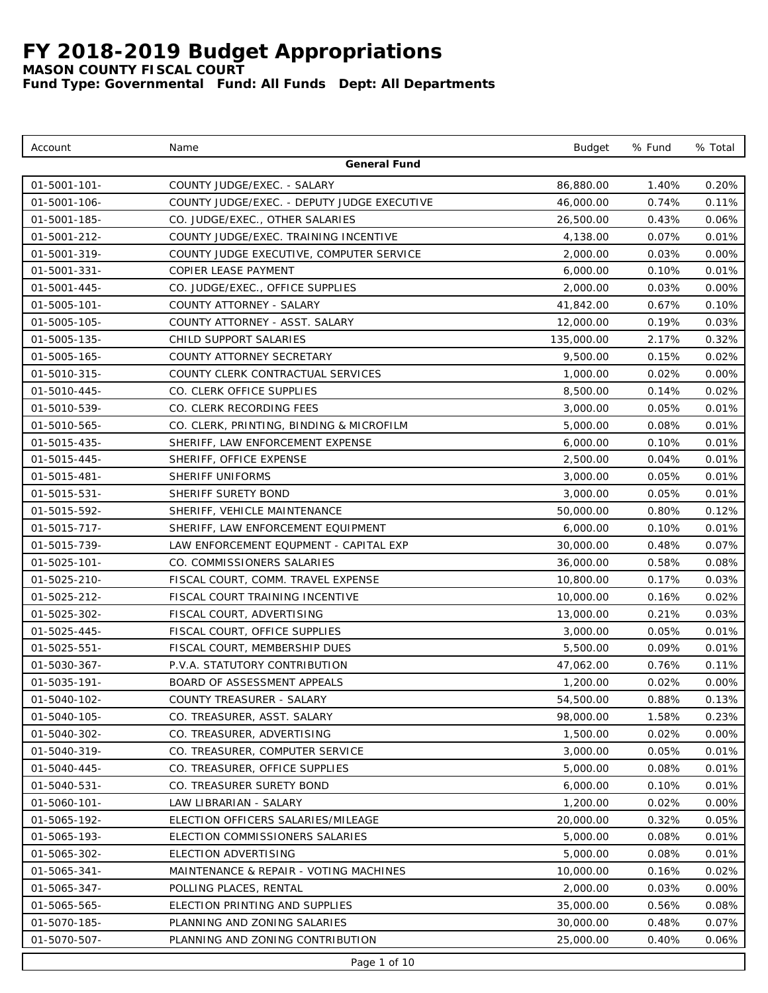*MASON COUNTY FISCAL COURT*

| Account             | Name                                        | <b>Budget</b> | % Fund | % Total  |
|---------------------|---------------------------------------------|---------------|--------|----------|
|                     | General Fund                                |               |        |          |
| $01 - 5001 - 101 -$ | COUNTY JUDGE/EXEC. - SALARY                 | 86,880.00     | 1.40%  | 0.20%    |
| 01-5001-106-        | COUNTY JUDGE/EXEC. - DEPUTY JUDGE EXECUTIVE | 46,000.00     | 0.74%  | 0.11%    |
| 01-5001-185-        | CO. JUDGE/EXEC., OTHER SALARIES             | 26,500.00     | 0.43%  | 0.06%    |
| 01-5001-212-        | COUNTY JUDGE/EXEC. TRAINING INCENTIVE       | 4,138.00      | 0.07%  | 0.01%    |
| 01-5001-319-        | COUNTY JUDGE EXECUTIVE, COMPUTER SERVICE    | 2,000.00      | 0.03%  | 0.00%    |
| 01-5001-331-        | COPIER LEASE PAYMENT                        | 6,000.00      | 0.10%  | 0.01%    |
| 01-5001-445-        | CO. JUDGE/EXEC., OFFICE SUPPLIES            | 2,000.00      | 0.03%  | 0.00%    |
| $01 - 5005 - 101 -$ | COUNTY ATTORNEY - SALARY                    | 41,842.00     | 0.67%  | 0.10%    |
| 01-5005-105-        | COUNTY ATTORNEY - ASST. SALARY              | 12,000.00     | 0.19%  | 0.03%    |
| 01-5005-135-        | CHILD SUPPORT SALARIES                      | 135,000.00    | 2.17%  | 0.32%    |
| 01-5005-165-        | COUNTY ATTORNEY SECRETARY                   | 9,500.00      | 0.15%  | 0.02%    |
| 01-5010-315-        | COUNTY CLERK CONTRACTUAL SERVICES           | 1,000.00      | 0.02%  | 0.00%    |
| 01-5010-445-        | CO. CLERK OFFICE SUPPLIES                   | 8,500.00      | 0.14%  | 0.02%    |
| 01-5010-539-        | CO. CLERK RECORDING FEES                    | 3,000.00      | 0.05%  | 0.01%    |
| 01-5010-565-        | CO. CLERK, PRINTING, BINDING & MICROFILM    | 5,000.00      | 0.08%  | 0.01%    |
| 01-5015-435-        | SHERIFF, LAW ENFORCEMENT EXPENSE            | 6,000.00      | 0.10%  | 0.01%    |
| 01-5015-445-        | SHERIFF, OFFICE EXPENSE                     | 2,500.00      | 0.04%  | 0.01%    |
| 01-5015-481-        | SHERIFF UNIFORMS                            | 3,000.00      | 0.05%  | 0.01%    |
| 01-5015-531-        | SHERIFF SURETY BOND                         | 3,000.00      | 0.05%  | 0.01%    |
| 01-5015-592-        | SHERIFF, VEHICLE MAINTENANCE                | 50,000.00     | 0.80%  | 0.12%    |
| 01-5015-717-        | SHERIFF, LAW ENFORCEMENT EQUIPMENT          | 6,000.00      | 0.10%  | 0.01%    |
| 01-5015-739-        | LAW ENFORCEMENT EQUPMENT - CAPITAL EXP      | 30,000.00     | 0.48%  | 0.07%    |
| $01 - 5025 - 101 -$ | CO. COMMISSIONERS SALARIES                  | 36,000.00     | 0.58%  | 0.08%    |
| 01-5025-210-        | FISCAL COURT, COMM. TRAVEL EXPENSE          | 10,800.00     | 0.17%  | 0.03%    |
| 01-5025-212-        | FISCAL COURT TRAINING INCENTIVE             | 10,000.00     | 0.16%  | 0.02%    |
| 01-5025-302-        | FISCAL COURT, ADVERTISING                   | 13,000.00     | 0.21%  | 0.03%    |
| 01-5025-445-        | FISCAL COURT, OFFICE SUPPLIES               | 3,000.00      | 0.05%  | 0.01%    |
| 01-5025-551-        | FISCAL COURT, MEMBERSHIP DUES               | 5,500.00      | 0.09%  | 0.01%    |
| 01-5030-367-        | P.V.A. STATUTORY CONTRIBUTION               | 47,062.00     | 0.76%  | 0.11%    |
| $01 - 5035 - 191 -$ | BOARD OF ASSESSMENT APPEALS                 | 1,200.00      | 0.02%  | 0.00%    |
| 01-5040-102-        | COUNTY TREASURER - SALARY                   | 54,500.00     | 0.88%  | 0.13%    |
| 01-5040-105-        | CO. TREASURER, ASST. SALARY                 | 98,000.00     | 1.58%  | 0.23%    |
| 01-5040-302-        | CO. TREASURER, ADVERTISING                  | 1,500.00      | 0.02%  | 0.00%    |
| 01-5040-319-        | CO. TREASURER, COMPUTER SERVICE             | 3,000.00      | 0.05%  | 0.01%    |
| 01-5040-445-        | CO. TREASURER, OFFICE SUPPLIES              | 5,000.00      | 0.08%  | 0.01%    |
| 01-5040-531-        | CO. TREASURER SURETY BOND                   | 6,000.00      | 0.10%  | 0.01%    |
| 01-5060-101-        | LAW LIBRARIAN - SALARY                      | 1,200.00      | 0.02%  | $0.00\%$ |
| 01-5065-192-        | ELECTION OFFICERS SALARIES/MILEAGE          | 20,000.00     | 0.32%  | 0.05%    |
| 01-5065-193-        | ELECTION COMMISSIONERS SALARIES             | 5,000.00      | 0.08%  | 0.01%    |
| 01-5065-302-        | ELECTION ADVERTISING                        | 5,000.00      | 0.08%  | 0.01%    |
| 01-5065-341-        | MAINTENANCE & REPAIR - VOTING MACHINES      | 10,000.00     | 0.16%  | 0.02%    |
| 01-5065-347-        | POLLING PLACES, RENTAL                      | 2,000.00      | 0.03%  | $0.00\%$ |
| 01-5065-565-        | ELECTION PRINTING AND SUPPLIES              | 35,000.00     | 0.56%  | 0.08%    |
| 01-5070-185-        | PLANNING AND ZONING SALARIES                | 30,000.00     | 0.48%  | 0.07%    |
| 01-5070-507-        | PLANNING AND ZONING CONTRIBUTION            | 25,000.00     | 0.40%  | $0.06\%$ |
|                     | Page 1 of 10                                |               |        |          |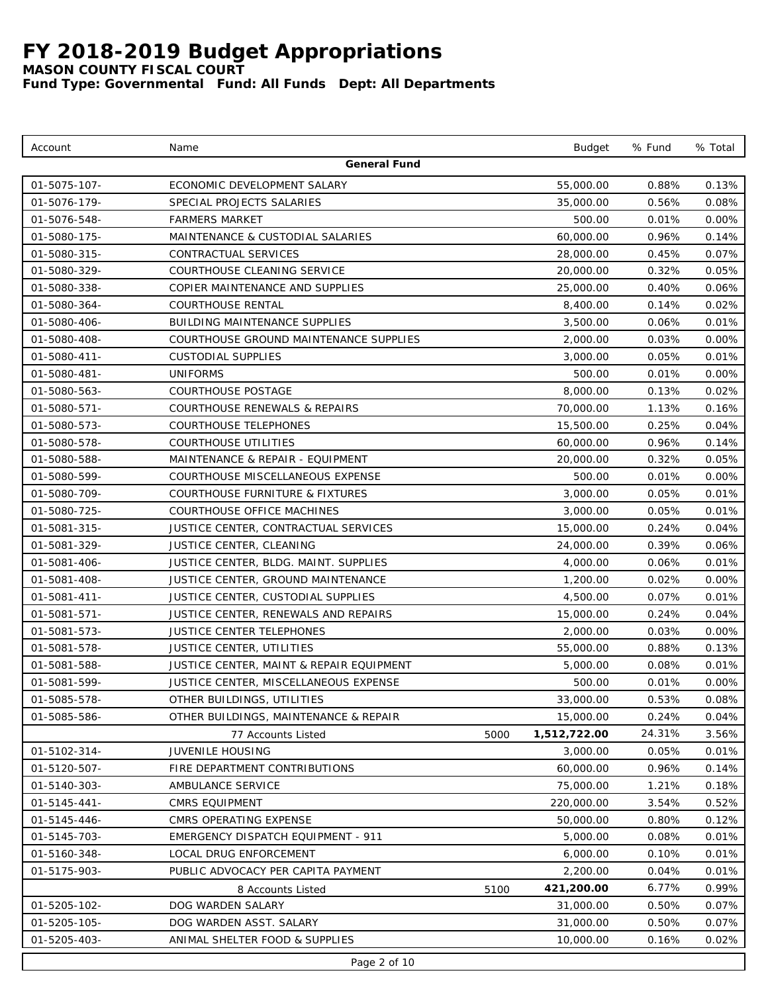*MASON COUNTY FISCAL COURT*

| Account             | Name                                       |      | <b>Budget</b> | % Fund | % Total  |  |  |
|---------------------|--------------------------------------------|------|---------------|--------|----------|--|--|
|                     | General Fund                               |      |               |        |          |  |  |
| 01-5075-107-        | ECONOMIC DEVELOPMENT SALARY                |      | 55,000.00     | 0.88%  | 0.13%    |  |  |
| 01-5076-179-        | SPECIAL PROJECTS SALARIES                  |      | 35,000.00     | 0.56%  | 0.08%    |  |  |
| 01-5076-548-        | <b>FARMERS MARKET</b>                      |      | 500.00        | 0.01%  | $0.00\%$ |  |  |
| 01-5080-175-        | MAINTENANCE & CUSTODIAL SALARIES           |      | 60,000.00     | 0.96%  | 0.14%    |  |  |
| 01-5080-315-        | CONTRACTUAL SERVICES                       |      | 28,000.00     | 0.45%  | 0.07%    |  |  |
| 01-5080-329-        | COURTHOUSE CLEANING SERVICE                |      | 20,000.00     | 0.32%  | 0.05%    |  |  |
| 01-5080-338-        | COPIER MAINTENANCE AND SUPPLIES            |      | 25,000.00     | 0.40%  | 0.06%    |  |  |
| 01-5080-364-        | <b>COURTHOUSE RENTAL</b>                   |      | 8,400.00      | 0.14%  | 0.02%    |  |  |
| 01-5080-406-        | <b>BUILDING MAINTENANCE SUPPLIES</b>       |      | 3,500.00      | 0.06%  | 0.01%    |  |  |
| 01-5080-408-        | COURTHOUSE GROUND MAINTENANCE SUPPLIES     |      | 2,000.00      | 0.03%  | 0.00%    |  |  |
| 01-5080-411-        | <b>CUSTODIAL SUPPLIES</b>                  |      | 3,000.00      | 0.05%  | 0.01%    |  |  |
| 01-5080-481-        | UNIFORMS                                   |      | 500.00        | 0.01%  | 0.00%    |  |  |
| 01-5080-563-        | COURTHOUSE POSTAGE                         |      | 8,000.00      | 0.13%  | 0.02%    |  |  |
| 01-5080-571-        | COURTHOUSE RENEWALS & REPAIRS              |      | 70,000.00     | 1.13%  | 0.16%    |  |  |
| 01-5080-573-        | COURTHOUSE TELEPHONES                      |      | 15,500.00     | 0.25%  | 0.04%    |  |  |
| 01-5080-578-        | COURTHOUSE UTILITIES                       |      | 60,000.00     | 0.96%  | 0.14%    |  |  |
| 01-5080-588-        | MAINTENANCE & REPAIR - EQUIPMENT           |      | 20,000.00     | 0.32%  | 0.05%    |  |  |
| 01-5080-599-        | COURTHOUSE MISCELLANEOUS EXPENSE           |      | 500.00        | 0.01%  | 0.00%    |  |  |
| 01-5080-709-        | <b>COURTHOUSE FURNITURE &amp; FIXTURES</b> |      | 3,000.00      | 0.05%  | 0.01%    |  |  |
| 01-5080-725-        | COURTHOUSE OFFICE MACHINES                 |      | 3,000.00      | 0.05%  | 0.01%    |  |  |
| 01-5081-315-        | JUSTICE CENTER, CONTRACTUAL SERVICES       |      | 15,000.00     | 0.24%  | 0.04%    |  |  |
| 01-5081-329-        | JUSTICE CENTER, CLEANING                   |      | 24,000.00     | 0.39%  | 0.06%    |  |  |
| 01-5081-406-        | JUSTICE CENTER, BLDG. MAINT. SUPPLIES      |      | 4,000.00      | 0.06%  | 0.01%    |  |  |
| 01-5081-408-        | JUSTICE CENTER, GROUND MAINTENANCE         |      | 1,200.00      | 0.02%  | 0.00%    |  |  |
| $01 - 5081 - 411 -$ | JUSTICE CENTER, CUSTODIAL SUPPLIES         |      | 4,500.00      | 0.07%  | 0.01%    |  |  |
| 01-5081-571-        | JUSTICE CENTER, RENEWALS AND REPAIRS       |      | 15,000.00     | 0.24%  | 0.04%    |  |  |
| 01-5081-573-        | JUSTICE CENTER TELEPHONES                  |      | 2,000.00      | 0.03%  | 0.00%    |  |  |
| 01-5081-578-        | <b>JUSTICE CENTER, UTILITIES</b>           |      | 55,000.00     | 0.88%  | 0.13%    |  |  |
| 01-5081-588-        | JUSTICE CENTER, MAINT & REPAIR EQUIPMENT   |      | 5,000.00      | 0.08%  | 0.01%    |  |  |
| 01-5081-599-        | JUSTICE CENTER, MISCELLANEOUS EXPENSE      |      | 500.00        | 0.01%  | $0.00\%$ |  |  |
| 01-5085-578-        | OTHER BUILDINGS, UTILITIES                 |      | 33,000.00     | 0.53%  | $0.08\%$ |  |  |
| 01-5085-586-        | OTHER BUILDINGS, MAINTENANCE & REPAIR      |      | 15,000.00     | 0.24%  | 0.04%    |  |  |
|                     | 77 Accounts Listed                         | 5000 | 1,512,722.00  | 24.31% | 3.56%    |  |  |
| 01-5102-314-        | JUVENILE HOUSING                           |      | 3,000.00      | 0.05%  | 0.01%    |  |  |
| 01-5120-507-        | FIRE DEPARTMENT CONTRIBUTIONS              |      | 60,000.00     | 0.96%  | 0.14%    |  |  |
| 01-5140-303-        | AMBULANCE SERVICE                          |      | 75,000.00     | 1.21%  | 0.18%    |  |  |
| $01 - 5145 - 441 -$ | CMRS EQUIPMENT                             |      | 220,000.00    | 3.54%  | 0.52%    |  |  |
| 01-5145-446-        | CMRS OPERATING EXPENSE                     |      | 50,000.00     | 0.80%  | 0.12%    |  |  |
| 01-5145-703-        | EMERGENCY DISPATCH EQUIPMENT - 911         |      | 5,000.00      | 0.08%  | 0.01%    |  |  |
| 01-5160-348-        | LOCAL DRUG ENFORCEMENT                     |      | 6,000.00      | 0.10%  | 0.01%    |  |  |
| 01-5175-903-        | PUBLIC ADVOCACY PER CAPITA PAYMENT         |      | 2,200.00      | 0.04%  | 0.01%    |  |  |
|                     | 8 Accounts Listed                          | 5100 | 421,200.00    | 6.77%  | 0.99%    |  |  |
| 01-5205-102-        | DOG WARDEN SALARY                          |      | 31,000.00     | 0.50%  | 0.07%    |  |  |
| 01-5205-105-        | DOG WARDEN ASST. SALARY                    |      | 31,000.00     | 0.50%  | 0.07%    |  |  |
| 01-5205-403-        | ANIMAL SHELTER FOOD & SUPPLIES             |      | 10,000.00     | 0.16%  | 0.02%    |  |  |
| Page 2 of 10        |                                            |      |               |        |          |  |  |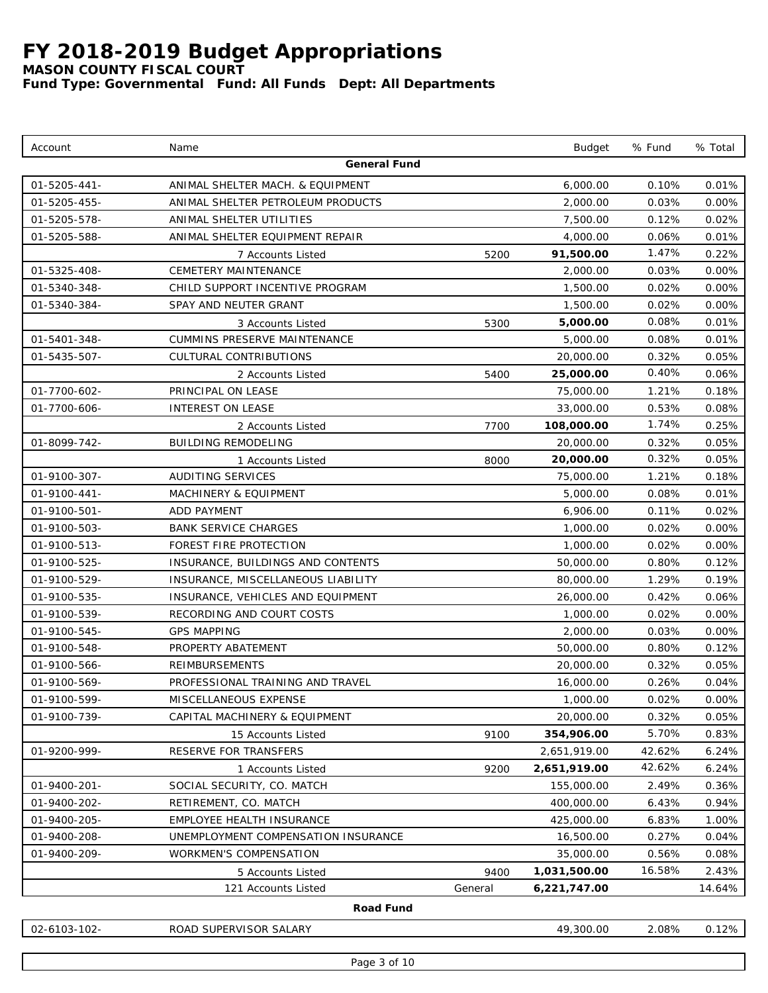*MASON COUNTY FISCAL COURT*

*Fund Type: Governmental Fund: All Funds Dept: All Departments*

| Account                      | Name                                                   |         | <b>Budget</b>         | % Fund         | % Total        |
|------------------------------|--------------------------------------------------------|---------|-----------------------|----------------|----------------|
|                              | General Fund                                           |         |                       |                |                |
| 01-5205-441-                 | ANIMAL SHELTER MACH. & EQUIPMENT                       |         | 6,000.00              | 0.10%          | 0.01%          |
| 01-5205-455-                 | ANIMAL SHELTER PETROLEUM PRODUCTS                      |         | 2,000.00              | 0.03%          | 0.00%          |
| 01-5205-578-                 | ANIMAL SHELTER UTILITIES                               |         | 7,500.00              | 0.12%          | 0.02%          |
| 01-5205-588-                 | ANIMAL SHELTER EQUIPMENT REPAIR                        |         | 4,000.00              | 0.06%          | 0.01%          |
|                              | 7 Accounts Listed                                      | 5200    | 91,500.00             | 1.47%          | 0.22%          |
| 01-5325-408-                 | CEMETERY MAINTENANCE                                   |         | 2,000.00              | 0.03%          | 0.00%          |
| 01-5340-348-                 | CHILD SUPPORT INCENTIVE PROGRAM                        |         | 1,500.00              | 0.02%          | 0.00%          |
| 01-5340-384-                 | SPAY AND NEUTER GRANT                                  |         | 1,500.00              | 0.02%          | 0.00%          |
|                              | 3 Accounts Listed                                      | 5300    | 5,000.00              | 0.08%          | 0.01%          |
| 01-5401-348-                 | CUMMINS PRESERVE MAINTENANCE                           |         | 5,000.00              | 0.08%          | 0.01%          |
| 01-5435-507-                 | CULTURAL CONTRIBUTIONS                                 |         | 20,000.00             | 0.32%          | 0.05%          |
|                              | 2 Accounts Listed                                      | 5400    | 25,000.00             | 0.40%          | 0.06%          |
| 01-7700-602-                 | PRINCIPAL ON LEASE                                     |         | 75,000.00             | 1.21%          | 0.18%          |
| 01-7700-606-                 | <b>INTEREST ON LEASE</b>                               |         | 33,000.00             | 0.53%          | 0.08%          |
|                              | 2 Accounts Listed                                      | 7700    | 108,000.00            | 1.74%          | 0.25%          |
| 01-8099-742-                 | <b>BUILDING REMODELING</b>                             |         | 20,000.00             | 0.32%          | 0.05%          |
|                              | 1 Accounts Listed                                      | 8000    | 20,000.00             | 0.32%          | 0.05%          |
| 01-9100-307-                 | <b>AUDITING SERVICES</b>                               |         | 75,000.00             | 1.21%          | 0.18%          |
| 01-9100-441-                 | <b>MACHINERY &amp; EQUIPMENT</b>                       |         | 5,000.00              | 0.08%          | 0.01%          |
| 01-9100-501-                 | <b>ADD PAYMENT</b>                                     |         | 6,906.00              | 0.11%          | 0.02%          |
| 01-9100-503-                 | <b>BANK SERVICE CHARGES</b>                            |         | 1,000.00              | 0.02%          | 0.00%          |
| 01-9100-513-                 | FOREST FIRE PROTECTION                                 |         | 1,000.00              | 0.02%          | 0.00%          |
| 01-9100-525-                 | INSURANCE, BUILDINGS AND CONTENTS                      |         | 50,000.00             | 0.80%          | 0.12%          |
| 01-9100-529-                 | INSURANCE, MISCELLANEOUS LIABILITY                     |         | 80,000.00             | 1.29%          | 0.19%          |
| 01-9100-535-                 | INSURANCE, VEHICLES AND EQUIPMENT                      |         | 26,000.00             | 0.42%          | 0.06%          |
| 01-9100-539-                 | RECORDING AND COURT COSTS                              |         | 1,000.00              | 0.02%          | 0.00%          |
| 01-9100-545-                 | <b>GPS MAPPING</b>                                     |         | 2,000.00              | 0.03%          | 0.00%          |
| 01-9100-548-                 | PROPERTY ABATEMENT                                     |         | 50,000.00             | 0.80%          | 0.12%          |
| 01-9100-566-                 | <b>REIMBURSEMENTS</b>                                  |         | 20,000.00             | 0.32%          | 0.05%          |
| 01-9100-569-                 | PROFESSIONAL TRAINING AND TRAVEL                       |         | 16,000.00             | 0.26%          | 0.04%          |
| 01-9100-599-<br>01-9100-739- | MISCELLANEOUS EXPENSE<br>CAPITAL MACHINERY & EQUIPMENT |         | 1,000.00<br>20,000.00 | 0.02%<br>0.32% | 0.00%<br>0.05% |
|                              |                                                        |         | 354,906.00            | 5.70%          | 0.83%          |
| 01-9200-999-                 | 15 Accounts Listed<br>RESERVE FOR TRANSFERS            | 9100    | 2,651,919.00          | 42.62%         | 6.24%          |
|                              |                                                        | 9200    | 2,651,919.00          | 42.62%         | 6.24%          |
| 01-9400-201-                 | 1 Accounts Listed<br>SOCIAL SECURITY, CO. MATCH        |         | 155,000.00            | 2.49%          | 0.36%          |
| 01-9400-202-                 | RETIREMENT, CO. MATCH                                  |         | 400,000.00            | 6.43%          | 0.94%          |
| 01-9400-205-                 | EMPLOYEE HEALTH INSURANCE                              |         | 425,000.00            | 6.83%          | 1.00%          |
| 01-9400-208-                 | UNEMPLOYMENT COMPENSATION INSURANCE                    |         | 16,500.00             | 0.27%          | 0.04%          |
| 01-9400-209-                 | WORKMEN'S COMPENSATION                                 |         | 35,000.00             | 0.56%          | 0.08%          |
|                              | 5 Accounts Listed                                      | 9400    | 1,031,500.00          | 16.58%         | 2.43%          |
|                              | 121 Accounts Listed                                    | General | 6,221,747.00          |                | 14.64%         |
|                              | Road Fund                                              |         |                       |                |                |
| 02-6103-102-                 | ROAD SUPERVISOR SALARY                                 |         | 49,300.00             | 2.08%          | 0.12%          |
|                              |                                                        |         |                       |                |                |

Page 3 of 10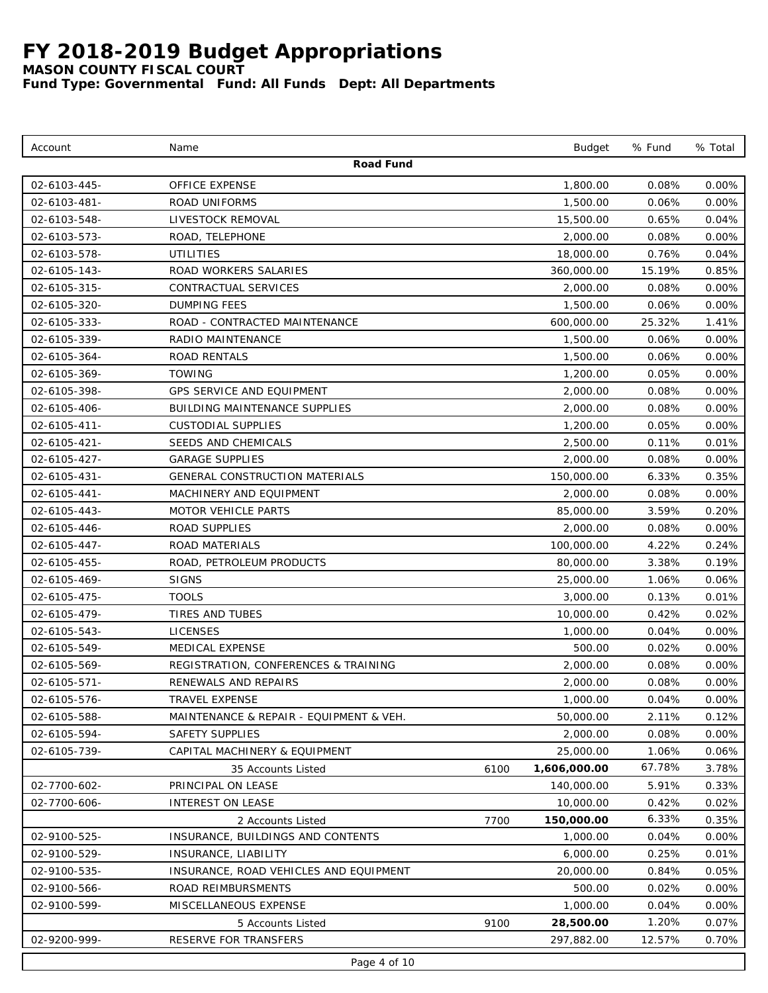*MASON COUNTY FISCAL COURT*

| Account      | Name                                    |      | <b>Budget</b> | % Fund | % Total  |
|--------------|-----------------------------------------|------|---------------|--------|----------|
|              | Road Fund                               |      |               |        |          |
| 02-6103-445- | <b>OFFICE EXPENSE</b>                   |      | 1,800.00      | 0.08%  | $0.00\%$ |
| 02-6103-481- | ROAD UNIFORMS                           |      | 1,500.00      | 0.06%  | 0.00%    |
| 02-6103-548- | LIVESTOCK REMOVAL                       |      | 15,500.00     | 0.65%  | 0.04%    |
| 02-6103-573- | ROAD, TELEPHONE                         |      | 2,000.00      | 0.08%  | 0.00%    |
| 02-6103-578- | <b>UTILITIES</b>                        |      | 18,000.00     | 0.76%  | 0.04%    |
| 02-6105-143- | ROAD WORKERS SALARIES                   |      | 360,000.00    | 15.19% | 0.85%    |
| 02-6105-315- | CONTRACTUAL SERVICES                    |      | 2,000.00      | 0.08%  | 0.00%    |
| 02-6105-320- | <b>DUMPING FEES</b>                     |      | 1,500.00      | 0.06%  | 0.00%    |
| 02-6105-333- | ROAD - CONTRACTED MAINTENANCE           |      | 600,000.00    | 25.32% | 1.41%    |
| 02-6105-339- | RADIO MAINTENANCE                       |      | 1,500.00      | 0.06%  | 0.00%    |
| 02-6105-364- | <b>ROAD RENTALS</b>                     |      | 1,500.00      | 0.06%  | 0.00%    |
| 02-6105-369- | TOWING                                  |      | 1,200.00      | 0.05%  | 0.00%    |
| 02-6105-398- | GPS SERVICE AND EQUIPMENT               |      | 2,000.00      | 0.08%  | $0.00\%$ |
| 02-6105-406- | <b>BUILDING MAINTENANCE SUPPLIES</b>    |      | 2,000.00      | 0.08%  | 0.00%    |
| 02-6105-411- | <b>CUSTODIAL SUPPLIES</b>               |      | 1,200.00      | 0.05%  | 0.00%    |
| 02-6105-421- | SEEDS AND CHEMICALS                     |      | 2,500.00      | 0.11%  | 0.01%    |
| 02-6105-427- | <b>GARAGE SUPPLIES</b>                  |      | 2,000.00      | 0.08%  | 0.00%    |
| 02-6105-431- | <b>GENERAL CONSTRUCTION MATERIALS</b>   |      | 150,000.00    | 6.33%  | 0.35%    |
| 02-6105-441- | MACHINERY AND EQUIPMENT                 |      | 2,000.00      | 0.08%  | 0.00%    |
| 02-6105-443- | <b>MOTOR VEHICLE PARTS</b>              |      | 85,000.00     | 3.59%  | 0.20%    |
| 02-6105-446- | ROAD SUPPLIES                           |      | 2,000.00      | 0.08%  | 0.00%    |
| 02-6105-447- | ROAD MATERIALS                          |      | 100,000.00    | 4.22%  | 0.24%    |
| 02-6105-455- | ROAD, PETROLEUM PRODUCTS                |      | 80,000.00     | 3.38%  | 0.19%    |
| 02-6105-469- | <b>SIGNS</b>                            |      | 25,000.00     | 1.06%  | 0.06%    |
| 02-6105-475- | <b>TOOLS</b>                            |      | 3,000.00      | 0.13%  | 0.01%    |
| 02-6105-479- | TIRES AND TUBES                         |      | 10,000.00     | 0.42%  | 0.02%    |
| 02-6105-543- | <b>LICENSES</b>                         |      | 1,000.00      | 0.04%  | 0.00%    |
| 02-6105-549- | MEDICAL EXPENSE                         |      | 500.00        | 0.02%  | 0.00%    |
| 02-6105-569- | REGISTRATION, CONFERENCES & TRAINING    |      | 2,000.00      | 0.08%  | 0.00%    |
| 02-6105-571- | RENEWALS AND REPAIRS                    |      | 2,000.00      | 0.08%  | 0.00%    |
| 02-6105-576- | TRAVEL EXPENSE                          |      | 1,000.00      | 0.04%  | $0.00\%$ |
| 02-6105-588- | MAINTENANCE & REPAIR - EQUIPMENT & VEH. |      | 50,000.00     | 2.11%  | 0.12%    |
| 02-6105-594- | SAFETY SUPPLIES                         |      | 2,000.00      | 0.08%  | $0.00\%$ |
| 02-6105-739- | CAPITAL MACHINERY & EQUIPMENT           |      | 25,000.00     | 1.06%  | 0.06%    |
|              | 35 Accounts Listed                      | 6100 | 1,606,000.00  | 67.78% | 3.78%    |
| 02-7700-602- | PRINCIPAL ON LEASE                      |      | 140,000.00    | 5.91%  | 0.33%    |
| 02-7700-606- | INTEREST ON LEASE                       |      | 10,000.00     | 0.42%  | 0.02%    |
|              | 2 Accounts Listed                       | 7700 | 150,000.00    | 6.33%  | 0.35%    |
| 02-9100-525- | INSURANCE, BUILDINGS AND CONTENTS       |      | 1,000.00      | 0.04%  | 0.00%    |
| 02-9100-529- | INSURANCE, LIABILITY                    |      | 6,000.00      | 0.25%  | 0.01%    |
| 02-9100-535- | INSURANCE, ROAD VEHICLES AND EQUIPMENT  |      | 20,000.00     | 0.84%  | 0.05%    |
| 02-9100-566- | ROAD REIMBURSMENTS                      |      | 500.00        | 0.02%  | $0.00\%$ |
| 02-9100-599- | MISCELLANEOUS EXPENSE                   |      | 1,000.00      | 0.04%  | $0.00\%$ |
|              | 5 Accounts Listed                       | 9100 | 28,500.00     | 1.20%  | $0.07\%$ |
| 02-9200-999- | RESERVE FOR TRANSFERS                   |      | 297,882.00    | 12.57% | 0.70%    |
|              | Page 4 of 10                            |      |               |        |          |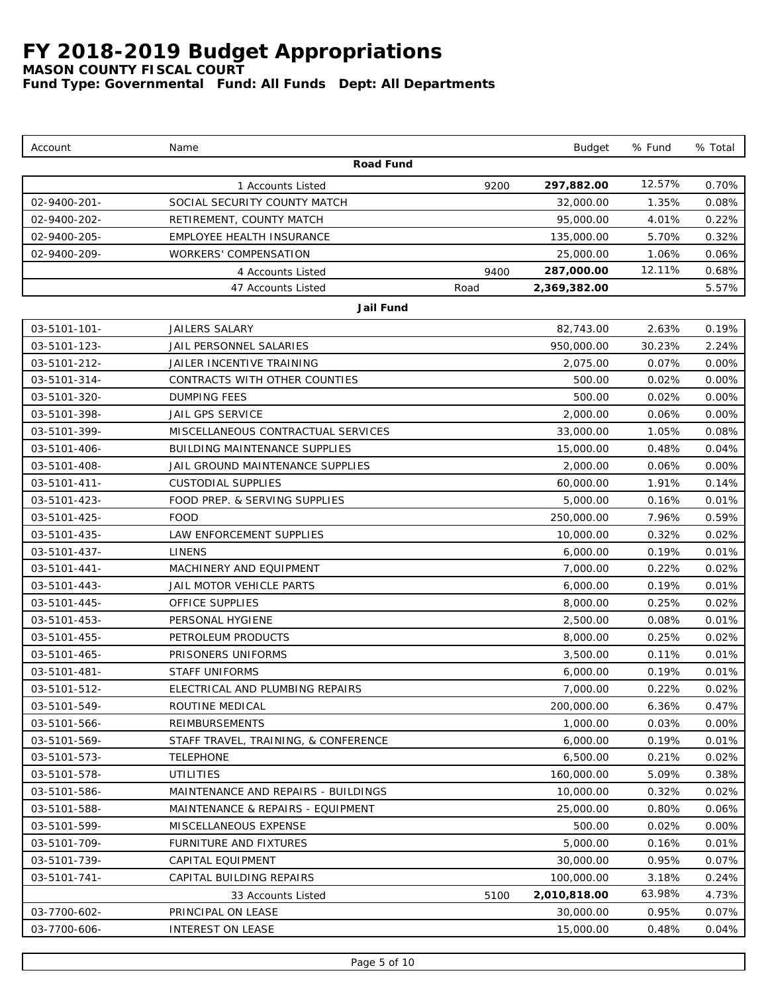*MASON COUNTY FISCAL COURT*

| Road Fund<br>12.57%<br>297,882.00<br>0.70%<br>9200<br>1 Accounts Listed<br>1.35%<br>02-9400-201-<br>SOCIAL SECURITY COUNTY MATCH<br>32,000.00<br>0.08%<br>4.01%<br>02-9400-202-<br>95,000.00<br>0.22%<br>RETIREMENT, COUNTY MATCH<br>02-9400-205-<br>EMPLOYEE HEALTH INSURANCE<br>135,000.00<br>5.70%<br>0.32%<br>02-9400-209-<br>WORKERS' COMPENSATION<br>25,000.00<br>1.06%<br>0.06%<br>12.11%<br>287,000.00<br>0.68%<br>9400<br>4 Accounts Listed<br>47 Accounts Listed<br>Road<br>2,369,382.00<br>5.57%<br>Jail Fund<br>03-5101-101-<br>JAILERS SALARY<br>2.63%<br>82,743.00<br>0.19%<br>03-5101-123-<br>JAIL PERSONNEL SALARIES<br>950,000.00<br>30.23%<br>2.24%<br>03-5101-212-<br>JAILER INCENTIVE TRAINING<br>2,075.00<br>0.07%<br>0.00%<br>03-5101-314-<br>CONTRACTS WITH OTHER COUNTIES<br>0.02%<br>0.00%<br>500.00<br>03-5101-320-<br>0.02%<br><b>DUMPING FEES</b><br>500.00<br>0.00%<br>03-5101-398-<br>JAIL GPS SERVICE<br>2,000.00<br>0.06%<br>0.00%<br>03-5101-399-<br>MISCELLANEOUS CONTRACTUAL SERVICES<br>33,000.00<br>1.05%<br>0.08%<br>03-5101-406-<br><b>BUILDING MAINTENANCE SUPPLIES</b><br>15,000.00<br>0.48%<br>0.04%<br>03-5101-408-<br>JAIL GROUND MAINTENANCE SUPPLIES<br>2,000.00<br>0.06%<br>0.00%<br>03-5101-411-<br><b>CUSTODIAL SUPPLIES</b><br>60,000.00<br>1.91%<br>0.14%<br>03-5101-423-<br>FOOD PREP. & SERVING SUPPLIES<br>5,000.00<br>0.16%<br>0.01%<br>03-5101-425-<br><b>FOOD</b><br>7.96%<br>250,000.00<br>0.59%<br>03-5101-435-<br>LAW ENFORCEMENT SUPPLIES<br>10,000.00<br>0.32%<br>0.02%<br>03-5101-437-<br><b>LINENS</b><br>6,000.00<br>0.19%<br>0.01%<br>03-5101-441-<br>MACHINERY AND EQUIPMENT<br>7,000.00<br>0.22%<br>0.02%<br>03-5101-443-<br>JAIL MOTOR VEHICLE PARTS<br>6,000.00<br>0.19%<br>0.01%<br>0.25%<br>03-5101-445-<br>OFFICE SUPPLIES<br>8,000.00<br>0.02%<br>03-5101-453-<br>PERSONAL HYGIENE<br>2,500.00<br>0.08%<br>0.01%<br>03-5101-455-<br>PETROLEUM PRODUCTS<br>8,000.00<br>0.25%<br>0.02%<br>03-5101-465-<br>PRISONERS UNIFORMS<br>3,500.00<br>0.11%<br>0.01%<br>03-5101-481-<br><b>STAFF UNIFORMS</b><br>6,000.00<br>0.19%<br>0.01%<br>03-5101-512-<br>7,000.00<br>0.02%<br>ELECTRICAL AND PLUMBING REPAIRS<br>0.22%<br>200,000.00<br>03-5101-549-<br>ROUTINE MEDICAL<br>6.36%<br>0.47%<br>03-5101-566-<br>REIMBURSEMENTS<br>1,000.00<br>0.03%<br>0.00%<br>03-5101-569-<br>STAFF TRAVEL, TRAINING, & CONFERENCE<br>6,000.00<br>0.19%<br>0.01%<br>03-5101-573-<br><b>TELEPHONE</b><br>6,500.00<br>0.21%<br>0.02%<br>03-5101-578-<br><b>UTILITIES</b><br>160,000.00<br>5.09%<br>0.38%<br>03-5101-586-<br>MAINTENANCE AND REPAIRS - BUILDINGS<br>10,000.00<br>0.32%<br>0.02%<br>03-5101-588-<br>25,000.00<br>MAINTENANCE & REPAIRS - EQUIPMENT<br>0.80%<br>0.06%<br>03-5101-599-<br>MISCELLANEOUS EXPENSE<br>500.00<br>0.02%<br>0.00%<br>03-5101-709-<br>5,000.00<br>FURNITURE AND FIXTURES<br>0.16%<br>0.01%<br>03-5101-739-<br>CAPITAL EQUIPMENT<br>30,000.00<br>0.95%<br>$0.07\%$<br>03-5101-741-<br>CAPITAL BUILDING REPAIRS<br>100,000.00<br>3.18%<br>0.24%<br>63.98%<br>2,010,818.00<br>4.73%<br>5100<br>33 Accounts Listed<br>03-7700-602-<br>PRINCIPAL ON LEASE<br>30,000.00<br>0.95%<br>0.07%<br>03-7700-606-<br>INTEREST ON LEASE<br>15,000.00<br>0.48%<br>0.04% | Account | Name | <b>Budget</b> | % Fund | % Total |
|-----------------------------------------------------------------------------------------------------------------------------------------------------------------------------------------------------------------------------------------------------------------------------------------------------------------------------------------------------------------------------------------------------------------------------------------------------------------------------------------------------------------------------------------------------------------------------------------------------------------------------------------------------------------------------------------------------------------------------------------------------------------------------------------------------------------------------------------------------------------------------------------------------------------------------------------------------------------------------------------------------------------------------------------------------------------------------------------------------------------------------------------------------------------------------------------------------------------------------------------------------------------------------------------------------------------------------------------------------------------------------------------------------------------------------------------------------------------------------------------------------------------------------------------------------------------------------------------------------------------------------------------------------------------------------------------------------------------------------------------------------------------------------------------------------------------------------------------------------------------------------------------------------------------------------------------------------------------------------------------------------------------------------------------------------------------------------------------------------------------------------------------------------------------------------------------------------------------------------------------------------------------------------------------------------------------------------------------------------------------------------------------------------------------------------------------------------------------------------------------------------------------------------------------------------------------------------------------------------------------------------------------------------------------------------------------------------------------------------------------------------------------------------------------------------------------------------------------------------------------------------------------------------------------------------------------------------------------------------------------------------------------------------------------------------------------------------------------------------------------------------------------------------------------------------------------------------------------------------------------------|---------|------|---------------|--------|---------|
|                                                                                                                                                                                                                                                                                                                                                                                                                                                                                                                                                                                                                                                                                                                                                                                                                                                                                                                                                                                                                                                                                                                                                                                                                                                                                                                                                                                                                                                                                                                                                                                                                                                                                                                                                                                                                                                                                                                                                                                                                                                                                                                                                                                                                                                                                                                                                                                                                                                                                                                                                                                                                                                                                                                                                                                                                                                                                                                                                                                                                                                                                                                                                                                                                                               |         |      |               |        |         |
|                                                                                                                                                                                                                                                                                                                                                                                                                                                                                                                                                                                                                                                                                                                                                                                                                                                                                                                                                                                                                                                                                                                                                                                                                                                                                                                                                                                                                                                                                                                                                                                                                                                                                                                                                                                                                                                                                                                                                                                                                                                                                                                                                                                                                                                                                                                                                                                                                                                                                                                                                                                                                                                                                                                                                                                                                                                                                                                                                                                                                                                                                                                                                                                                                                               |         |      |               |        |         |
|                                                                                                                                                                                                                                                                                                                                                                                                                                                                                                                                                                                                                                                                                                                                                                                                                                                                                                                                                                                                                                                                                                                                                                                                                                                                                                                                                                                                                                                                                                                                                                                                                                                                                                                                                                                                                                                                                                                                                                                                                                                                                                                                                                                                                                                                                                                                                                                                                                                                                                                                                                                                                                                                                                                                                                                                                                                                                                                                                                                                                                                                                                                                                                                                                                               |         |      |               |        |         |
|                                                                                                                                                                                                                                                                                                                                                                                                                                                                                                                                                                                                                                                                                                                                                                                                                                                                                                                                                                                                                                                                                                                                                                                                                                                                                                                                                                                                                                                                                                                                                                                                                                                                                                                                                                                                                                                                                                                                                                                                                                                                                                                                                                                                                                                                                                                                                                                                                                                                                                                                                                                                                                                                                                                                                                                                                                                                                                                                                                                                                                                                                                                                                                                                                                               |         |      |               |        |         |
|                                                                                                                                                                                                                                                                                                                                                                                                                                                                                                                                                                                                                                                                                                                                                                                                                                                                                                                                                                                                                                                                                                                                                                                                                                                                                                                                                                                                                                                                                                                                                                                                                                                                                                                                                                                                                                                                                                                                                                                                                                                                                                                                                                                                                                                                                                                                                                                                                                                                                                                                                                                                                                                                                                                                                                                                                                                                                                                                                                                                                                                                                                                                                                                                                                               |         |      |               |        |         |
|                                                                                                                                                                                                                                                                                                                                                                                                                                                                                                                                                                                                                                                                                                                                                                                                                                                                                                                                                                                                                                                                                                                                                                                                                                                                                                                                                                                                                                                                                                                                                                                                                                                                                                                                                                                                                                                                                                                                                                                                                                                                                                                                                                                                                                                                                                                                                                                                                                                                                                                                                                                                                                                                                                                                                                                                                                                                                                                                                                                                                                                                                                                                                                                                                                               |         |      |               |        |         |
|                                                                                                                                                                                                                                                                                                                                                                                                                                                                                                                                                                                                                                                                                                                                                                                                                                                                                                                                                                                                                                                                                                                                                                                                                                                                                                                                                                                                                                                                                                                                                                                                                                                                                                                                                                                                                                                                                                                                                                                                                                                                                                                                                                                                                                                                                                                                                                                                                                                                                                                                                                                                                                                                                                                                                                                                                                                                                                                                                                                                                                                                                                                                                                                                                                               |         |      |               |        |         |
|                                                                                                                                                                                                                                                                                                                                                                                                                                                                                                                                                                                                                                                                                                                                                                                                                                                                                                                                                                                                                                                                                                                                                                                                                                                                                                                                                                                                                                                                                                                                                                                                                                                                                                                                                                                                                                                                                                                                                                                                                                                                                                                                                                                                                                                                                                                                                                                                                                                                                                                                                                                                                                                                                                                                                                                                                                                                                                                                                                                                                                                                                                                                                                                                                                               |         |      |               |        |         |
|                                                                                                                                                                                                                                                                                                                                                                                                                                                                                                                                                                                                                                                                                                                                                                                                                                                                                                                                                                                                                                                                                                                                                                                                                                                                                                                                                                                                                                                                                                                                                                                                                                                                                                                                                                                                                                                                                                                                                                                                                                                                                                                                                                                                                                                                                                                                                                                                                                                                                                                                                                                                                                                                                                                                                                                                                                                                                                                                                                                                                                                                                                                                                                                                                                               |         |      |               |        |         |
|                                                                                                                                                                                                                                                                                                                                                                                                                                                                                                                                                                                                                                                                                                                                                                                                                                                                                                                                                                                                                                                                                                                                                                                                                                                                                                                                                                                                                                                                                                                                                                                                                                                                                                                                                                                                                                                                                                                                                                                                                                                                                                                                                                                                                                                                                                                                                                                                                                                                                                                                                                                                                                                                                                                                                                                                                                                                                                                                                                                                                                                                                                                                                                                                                                               |         |      |               |        |         |
|                                                                                                                                                                                                                                                                                                                                                                                                                                                                                                                                                                                                                                                                                                                                                                                                                                                                                                                                                                                                                                                                                                                                                                                                                                                                                                                                                                                                                                                                                                                                                                                                                                                                                                                                                                                                                                                                                                                                                                                                                                                                                                                                                                                                                                                                                                                                                                                                                                                                                                                                                                                                                                                                                                                                                                                                                                                                                                                                                                                                                                                                                                                                                                                                                                               |         |      |               |        |         |
|                                                                                                                                                                                                                                                                                                                                                                                                                                                                                                                                                                                                                                                                                                                                                                                                                                                                                                                                                                                                                                                                                                                                                                                                                                                                                                                                                                                                                                                                                                                                                                                                                                                                                                                                                                                                                                                                                                                                                                                                                                                                                                                                                                                                                                                                                                                                                                                                                                                                                                                                                                                                                                                                                                                                                                                                                                                                                                                                                                                                                                                                                                                                                                                                                                               |         |      |               |        |         |
|                                                                                                                                                                                                                                                                                                                                                                                                                                                                                                                                                                                                                                                                                                                                                                                                                                                                                                                                                                                                                                                                                                                                                                                                                                                                                                                                                                                                                                                                                                                                                                                                                                                                                                                                                                                                                                                                                                                                                                                                                                                                                                                                                                                                                                                                                                                                                                                                                                                                                                                                                                                                                                                                                                                                                                                                                                                                                                                                                                                                                                                                                                                                                                                                                                               |         |      |               |        |         |
|                                                                                                                                                                                                                                                                                                                                                                                                                                                                                                                                                                                                                                                                                                                                                                                                                                                                                                                                                                                                                                                                                                                                                                                                                                                                                                                                                                                                                                                                                                                                                                                                                                                                                                                                                                                                                                                                                                                                                                                                                                                                                                                                                                                                                                                                                                                                                                                                                                                                                                                                                                                                                                                                                                                                                                                                                                                                                                                                                                                                                                                                                                                                                                                                                                               |         |      |               |        |         |
|                                                                                                                                                                                                                                                                                                                                                                                                                                                                                                                                                                                                                                                                                                                                                                                                                                                                                                                                                                                                                                                                                                                                                                                                                                                                                                                                                                                                                                                                                                                                                                                                                                                                                                                                                                                                                                                                                                                                                                                                                                                                                                                                                                                                                                                                                                                                                                                                                                                                                                                                                                                                                                                                                                                                                                                                                                                                                                                                                                                                                                                                                                                                                                                                                                               |         |      |               |        |         |
|                                                                                                                                                                                                                                                                                                                                                                                                                                                                                                                                                                                                                                                                                                                                                                                                                                                                                                                                                                                                                                                                                                                                                                                                                                                                                                                                                                                                                                                                                                                                                                                                                                                                                                                                                                                                                                                                                                                                                                                                                                                                                                                                                                                                                                                                                                                                                                                                                                                                                                                                                                                                                                                                                                                                                                                                                                                                                                                                                                                                                                                                                                                                                                                                                                               |         |      |               |        |         |
|                                                                                                                                                                                                                                                                                                                                                                                                                                                                                                                                                                                                                                                                                                                                                                                                                                                                                                                                                                                                                                                                                                                                                                                                                                                                                                                                                                                                                                                                                                                                                                                                                                                                                                                                                                                                                                                                                                                                                                                                                                                                                                                                                                                                                                                                                                                                                                                                                                                                                                                                                                                                                                                                                                                                                                                                                                                                                                                                                                                                                                                                                                                                                                                                                                               |         |      |               |        |         |
|                                                                                                                                                                                                                                                                                                                                                                                                                                                                                                                                                                                                                                                                                                                                                                                                                                                                                                                                                                                                                                                                                                                                                                                                                                                                                                                                                                                                                                                                                                                                                                                                                                                                                                                                                                                                                                                                                                                                                                                                                                                                                                                                                                                                                                                                                                                                                                                                                                                                                                                                                                                                                                                                                                                                                                                                                                                                                                                                                                                                                                                                                                                                                                                                                                               |         |      |               |        |         |
|                                                                                                                                                                                                                                                                                                                                                                                                                                                                                                                                                                                                                                                                                                                                                                                                                                                                                                                                                                                                                                                                                                                                                                                                                                                                                                                                                                                                                                                                                                                                                                                                                                                                                                                                                                                                                                                                                                                                                                                                                                                                                                                                                                                                                                                                                                                                                                                                                                                                                                                                                                                                                                                                                                                                                                                                                                                                                                                                                                                                                                                                                                                                                                                                                                               |         |      |               |        |         |
|                                                                                                                                                                                                                                                                                                                                                                                                                                                                                                                                                                                                                                                                                                                                                                                                                                                                                                                                                                                                                                                                                                                                                                                                                                                                                                                                                                                                                                                                                                                                                                                                                                                                                                                                                                                                                                                                                                                                                                                                                                                                                                                                                                                                                                                                                                                                                                                                                                                                                                                                                                                                                                                                                                                                                                                                                                                                                                                                                                                                                                                                                                                                                                                                                                               |         |      |               |        |         |
|                                                                                                                                                                                                                                                                                                                                                                                                                                                                                                                                                                                                                                                                                                                                                                                                                                                                                                                                                                                                                                                                                                                                                                                                                                                                                                                                                                                                                                                                                                                                                                                                                                                                                                                                                                                                                                                                                                                                                                                                                                                                                                                                                                                                                                                                                                                                                                                                                                                                                                                                                                                                                                                                                                                                                                                                                                                                                                                                                                                                                                                                                                                                                                                                                                               |         |      |               |        |         |
|                                                                                                                                                                                                                                                                                                                                                                                                                                                                                                                                                                                                                                                                                                                                                                                                                                                                                                                                                                                                                                                                                                                                                                                                                                                                                                                                                                                                                                                                                                                                                                                                                                                                                                                                                                                                                                                                                                                                                                                                                                                                                                                                                                                                                                                                                                                                                                                                                                                                                                                                                                                                                                                                                                                                                                                                                                                                                                                                                                                                                                                                                                                                                                                                                                               |         |      |               |        |         |
|                                                                                                                                                                                                                                                                                                                                                                                                                                                                                                                                                                                                                                                                                                                                                                                                                                                                                                                                                                                                                                                                                                                                                                                                                                                                                                                                                                                                                                                                                                                                                                                                                                                                                                                                                                                                                                                                                                                                                                                                                                                                                                                                                                                                                                                                                                                                                                                                                                                                                                                                                                                                                                                                                                                                                                                                                                                                                                                                                                                                                                                                                                                                                                                                                                               |         |      |               |        |         |
|                                                                                                                                                                                                                                                                                                                                                                                                                                                                                                                                                                                                                                                                                                                                                                                                                                                                                                                                                                                                                                                                                                                                                                                                                                                                                                                                                                                                                                                                                                                                                                                                                                                                                                                                                                                                                                                                                                                                                                                                                                                                                                                                                                                                                                                                                                                                                                                                                                                                                                                                                                                                                                                                                                                                                                                                                                                                                                                                                                                                                                                                                                                                                                                                                                               |         |      |               |        |         |
|                                                                                                                                                                                                                                                                                                                                                                                                                                                                                                                                                                                                                                                                                                                                                                                                                                                                                                                                                                                                                                                                                                                                                                                                                                                                                                                                                                                                                                                                                                                                                                                                                                                                                                                                                                                                                                                                                                                                                                                                                                                                                                                                                                                                                                                                                                                                                                                                                                                                                                                                                                                                                                                                                                                                                                                                                                                                                                                                                                                                                                                                                                                                                                                                                                               |         |      |               |        |         |
|                                                                                                                                                                                                                                                                                                                                                                                                                                                                                                                                                                                                                                                                                                                                                                                                                                                                                                                                                                                                                                                                                                                                                                                                                                                                                                                                                                                                                                                                                                                                                                                                                                                                                                                                                                                                                                                                                                                                                                                                                                                                                                                                                                                                                                                                                                                                                                                                                                                                                                                                                                                                                                                                                                                                                                                                                                                                                                                                                                                                                                                                                                                                                                                                                                               |         |      |               |        |         |
|                                                                                                                                                                                                                                                                                                                                                                                                                                                                                                                                                                                                                                                                                                                                                                                                                                                                                                                                                                                                                                                                                                                                                                                                                                                                                                                                                                                                                                                                                                                                                                                                                                                                                                                                                                                                                                                                                                                                                                                                                                                                                                                                                                                                                                                                                                                                                                                                                                                                                                                                                                                                                                                                                                                                                                                                                                                                                                                                                                                                                                                                                                                                                                                                                                               |         |      |               |        |         |
|                                                                                                                                                                                                                                                                                                                                                                                                                                                                                                                                                                                                                                                                                                                                                                                                                                                                                                                                                                                                                                                                                                                                                                                                                                                                                                                                                                                                                                                                                                                                                                                                                                                                                                                                                                                                                                                                                                                                                                                                                                                                                                                                                                                                                                                                                                                                                                                                                                                                                                                                                                                                                                                                                                                                                                                                                                                                                                                                                                                                                                                                                                                                                                                                                                               |         |      |               |        |         |
|                                                                                                                                                                                                                                                                                                                                                                                                                                                                                                                                                                                                                                                                                                                                                                                                                                                                                                                                                                                                                                                                                                                                                                                                                                                                                                                                                                                                                                                                                                                                                                                                                                                                                                                                                                                                                                                                                                                                                                                                                                                                                                                                                                                                                                                                                                                                                                                                                                                                                                                                                                                                                                                                                                                                                                                                                                                                                                                                                                                                                                                                                                                                                                                                                                               |         |      |               |        |         |
|                                                                                                                                                                                                                                                                                                                                                                                                                                                                                                                                                                                                                                                                                                                                                                                                                                                                                                                                                                                                                                                                                                                                                                                                                                                                                                                                                                                                                                                                                                                                                                                                                                                                                                                                                                                                                                                                                                                                                                                                                                                                                                                                                                                                                                                                                                                                                                                                                                                                                                                                                                                                                                                                                                                                                                                                                                                                                                                                                                                                                                                                                                                                                                                                                                               |         |      |               |        |         |
|                                                                                                                                                                                                                                                                                                                                                                                                                                                                                                                                                                                                                                                                                                                                                                                                                                                                                                                                                                                                                                                                                                                                                                                                                                                                                                                                                                                                                                                                                                                                                                                                                                                                                                                                                                                                                                                                                                                                                                                                                                                                                                                                                                                                                                                                                                                                                                                                                                                                                                                                                                                                                                                                                                                                                                                                                                                                                                                                                                                                                                                                                                                                                                                                                                               |         |      |               |        |         |
|                                                                                                                                                                                                                                                                                                                                                                                                                                                                                                                                                                                                                                                                                                                                                                                                                                                                                                                                                                                                                                                                                                                                                                                                                                                                                                                                                                                                                                                                                                                                                                                                                                                                                                                                                                                                                                                                                                                                                                                                                                                                                                                                                                                                                                                                                                                                                                                                                                                                                                                                                                                                                                                                                                                                                                                                                                                                                                                                                                                                                                                                                                                                                                                                                                               |         |      |               |        |         |
|                                                                                                                                                                                                                                                                                                                                                                                                                                                                                                                                                                                                                                                                                                                                                                                                                                                                                                                                                                                                                                                                                                                                                                                                                                                                                                                                                                                                                                                                                                                                                                                                                                                                                                                                                                                                                                                                                                                                                                                                                                                                                                                                                                                                                                                                                                                                                                                                                                                                                                                                                                                                                                                                                                                                                                                                                                                                                                                                                                                                                                                                                                                                                                                                                                               |         |      |               |        |         |
|                                                                                                                                                                                                                                                                                                                                                                                                                                                                                                                                                                                                                                                                                                                                                                                                                                                                                                                                                                                                                                                                                                                                                                                                                                                                                                                                                                                                                                                                                                                                                                                                                                                                                                                                                                                                                                                                                                                                                                                                                                                                                                                                                                                                                                                                                                                                                                                                                                                                                                                                                                                                                                                                                                                                                                                                                                                                                                                                                                                                                                                                                                                                                                                                                                               |         |      |               |        |         |
|                                                                                                                                                                                                                                                                                                                                                                                                                                                                                                                                                                                                                                                                                                                                                                                                                                                                                                                                                                                                                                                                                                                                                                                                                                                                                                                                                                                                                                                                                                                                                                                                                                                                                                                                                                                                                                                                                                                                                                                                                                                                                                                                                                                                                                                                                                                                                                                                                                                                                                                                                                                                                                                                                                                                                                                                                                                                                                                                                                                                                                                                                                                                                                                                                                               |         |      |               |        |         |
|                                                                                                                                                                                                                                                                                                                                                                                                                                                                                                                                                                                                                                                                                                                                                                                                                                                                                                                                                                                                                                                                                                                                                                                                                                                                                                                                                                                                                                                                                                                                                                                                                                                                                                                                                                                                                                                                                                                                                                                                                                                                                                                                                                                                                                                                                                                                                                                                                                                                                                                                                                                                                                                                                                                                                                                                                                                                                                                                                                                                                                                                                                                                                                                                                                               |         |      |               |        |         |
|                                                                                                                                                                                                                                                                                                                                                                                                                                                                                                                                                                                                                                                                                                                                                                                                                                                                                                                                                                                                                                                                                                                                                                                                                                                                                                                                                                                                                                                                                                                                                                                                                                                                                                                                                                                                                                                                                                                                                                                                                                                                                                                                                                                                                                                                                                                                                                                                                                                                                                                                                                                                                                                                                                                                                                                                                                                                                                                                                                                                                                                                                                                                                                                                                                               |         |      |               |        |         |
|                                                                                                                                                                                                                                                                                                                                                                                                                                                                                                                                                                                                                                                                                                                                                                                                                                                                                                                                                                                                                                                                                                                                                                                                                                                                                                                                                                                                                                                                                                                                                                                                                                                                                                                                                                                                                                                                                                                                                                                                                                                                                                                                                                                                                                                                                                                                                                                                                                                                                                                                                                                                                                                                                                                                                                                                                                                                                                                                                                                                                                                                                                                                                                                                                                               |         |      |               |        |         |
|                                                                                                                                                                                                                                                                                                                                                                                                                                                                                                                                                                                                                                                                                                                                                                                                                                                                                                                                                                                                                                                                                                                                                                                                                                                                                                                                                                                                                                                                                                                                                                                                                                                                                                                                                                                                                                                                                                                                                                                                                                                                                                                                                                                                                                                                                                                                                                                                                                                                                                                                                                                                                                                                                                                                                                                                                                                                                                                                                                                                                                                                                                                                                                                                                                               |         |      |               |        |         |
|                                                                                                                                                                                                                                                                                                                                                                                                                                                                                                                                                                                                                                                                                                                                                                                                                                                                                                                                                                                                                                                                                                                                                                                                                                                                                                                                                                                                                                                                                                                                                                                                                                                                                                                                                                                                                                                                                                                                                                                                                                                                                                                                                                                                                                                                                                                                                                                                                                                                                                                                                                                                                                                                                                                                                                                                                                                                                                                                                                                                                                                                                                                                                                                                                                               |         |      |               |        |         |
|                                                                                                                                                                                                                                                                                                                                                                                                                                                                                                                                                                                                                                                                                                                                                                                                                                                                                                                                                                                                                                                                                                                                                                                                                                                                                                                                                                                                                                                                                                                                                                                                                                                                                                                                                                                                                                                                                                                                                                                                                                                                                                                                                                                                                                                                                                                                                                                                                                                                                                                                                                                                                                                                                                                                                                                                                                                                                                                                                                                                                                                                                                                                                                                                                                               |         |      |               |        |         |
|                                                                                                                                                                                                                                                                                                                                                                                                                                                                                                                                                                                                                                                                                                                                                                                                                                                                                                                                                                                                                                                                                                                                                                                                                                                                                                                                                                                                                                                                                                                                                                                                                                                                                                                                                                                                                                                                                                                                                                                                                                                                                                                                                                                                                                                                                                                                                                                                                                                                                                                                                                                                                                                                                                                                                                                                                                                                                                                                                                                                                                                                                                                                                                                                                                               |         |      |               |        |         |
|                                                                                                                                                                                                                                                                                                                                                                                                                                                                                                                                                                                                                                                                                                                                                                                                                                                                                                                                                                                                                                                                                                                                                                                                                                                                                                                                                                                                                                                                                                                                                                                                                                                                                                                                                                                                                                                                                                                                                                                                                                                                                                                                                                                                                                                                                                                                                                                                                                                                                                                                                                                                                                                                                                                                                                                                                                                                                                                                                                                                                                                                                                                                                                                                                                               |         |      |               |        |         |
|                                                                                                                                                                                                                                                                                                                                                                                                                                                                                                                                                                                                                                                                                                                                                                                                                                                                                                                                                                                                                                                                                                                                                                                                                                                                                                                                                                                                                                                                                                                                                                                                                                                                                                                                                                                                                                                                                                                                                                                                                                                                                                                                                                                                                                                                                                                                                                                                                                                                                                                                                                                                                                                                                                                                                                                                                                                                                                                                                                                                                                                                                                                                                                                                                                               |         |      |               |        |         |
|                                                                                                                                                                                                                                                                                                                                                                                                                                                                                                                                                                                                                                                                                                                                                                                                                                                                                                                                                                                                                                                                                                                                                                                                                                                                                                                                                                                                                                                                                                                                                                                                                                                                                                                                                                                                                                                                                                                                                                                                                                                                                                                                                                                                                                                                                                                                                                                                                                                                                                                                                                                                                                                                                                                                                                                                                                                                                                                                                                                                                                                                                                                                                                                                                                               |         |      |               |        |         |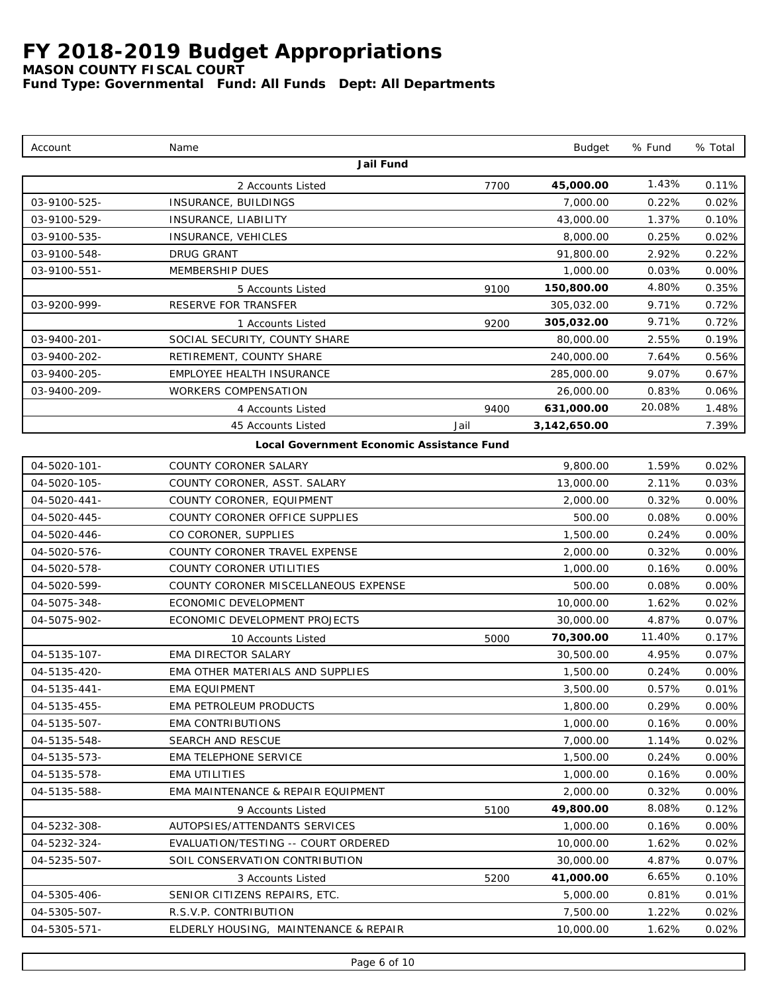*MASON COUNTY FISCAL COURT*

| Jail Fund<br>1.43%<br>45,000.00<br>0.11%<br>7700<br>2 Accounts Listed<br>03-9100-525-<br>INSURANCE, BUILDINGS<br>0.22%<br>7.000.00<br>0.02%<br>03-9100-529-<br>1.37%<br>INSURANCE, LIABILITY<br>43,000.00<br>0.10%<br>03-9100-535-<br>0.02%<br>INSURANCE, VEHICLES<br>8,000.00<br>0.25%<br>03-9100-548-<br>DRUG GRANT<br>91,800.00<br>2.92%<br>0.22%<br>03-9100-551-<br>MEMBERSHIP DUES<br>1,000.00<br>0.03%<br>0.00%<br>4.80%<br>150,800.00<br>0.35%<br>9100<br>5 Accounts Listed<br>03-9200-999-<br><b>RESERVE FOR TRANSFER</b><br>305,032.00<br>9.71%<br>0.72%<br>9.71%<br>305,032.00<br>0.72%<br>9200<br>1 Accounts Listed<br>03-9400-201-<br>SOCIAL SECURITY, COUNTY SHARE<br>80,000.00<br>2.55%<br>0.19%<br>03-9400-202-<br>RETIREMENT, COUNTY SHARE<br>240,000.00<br>7.64%<br>0.56%<br>9.07%<br>03-9400-205-<br>EMPLOYEE HEALTH INSURANCE<br>285,000.00<br>0.67%<br>03-9400-209-<br>WORKERS COMPENSATION<br>26,000.00<br>0.83%<br>0.06%<br>20.08%<br>631,000.00<br>1.48%<br>9400<br>4 Accounts Listed<br>45 Accounts Listed<br>7.39%<br>Jail<br>3,142,650.00<br>Local Government Economic Assistance Fund<br>04-5020-101-<br>COUNTY CORONER SALARY<br>9,800.00<br>1.59%<br>0.02%<br>04-5020-105-<br>COUNTY CORONER, ASST. SALARY<br>13,000.00<br>2.11%<br>0.03%<br>0.00%<br>04-5020-441-<br>COUNTY CORONER, EQUIPMENT<br>2,000.00<br>0.32%<br>04-5020-445-<br>COUNTY CORONER OFFICE SUPPLIES<br>500.00<br>0.08%<br>$0.00\%$<br>04-5020-446-<br>CO CORONER, SUPPLIES<br>1,500.00<br>0.24%<br>0.00%<br>04-5020-576-<br>COUNTY CORONER TRAVEL EXPENSE<br>2,000.00<br>0.32%<br>0.00%<br>04-5020-578-<br>COUNTY CORONER UTILITIES<br>1,000.00<br>0.00%<br>0.16%<br>04-5020-599-<br>COUNTY CORONER MISCELLANEOUS EXPENSE<br>500.00<br>0.08%<br>0.00%<br>1.62%<br>04-5075-348-<br>ECONOMIC DEVELOPMENT<br>10,000.00<br>0.02%<br>04-5075-902-<br>ECONOMIC DEVELOPMENT PROJECTS<br>30,000.00<br>4.87%<br>0.07%<br>11.40%<br>70,300.00<br>0.17%<br>5000<br>10 Accounts Listed<br>04-5135-107-<br><b>EMA DIRECTOR SALARY</b><br>30,500.00<br>4.95%<br>0.07%<br>04-5135-420-<br>EMA OTHER MATERIALS AND SUPPLIES<br>1,500.00<br>0.24%<br>0.00%<br>04-5135-441-<br>3,500.00<br>0.57%<br>0.01%<br><b>EMA EQUIPMENT</b><br>1,800.00<br>0.29%<br>04-5135-455-<br>EMA PETROLEUM PRODUCTS<br>0.00%<br>04-5135-507-<br><b>EMA CONTRIBUTIONS</b><br>1,000.00<br>0.16%<br>$0.00\%$<br>04-5135-548-<br>SEARCH AND RESCUE<br>7,000.00<br>0.02%<br>1.14%<br>EMA TELEPHONE SERVICE<br>1,500.00<br>0.24%<br>04-5135-573-<br>$0.00\%$<br><b>EMA UTILITIES</b><br>1,000.00<br>04-5135-578-<br>0.16%<br>$0.00\%$<br>04-5135-588-<br>EMA MAINTENANCE & REPAIR EQUIPMENT<br>2,000.00<br>0.32%<br>0.00%<br>8.08%<br>49,800.00<br>0.12%<br>9 Accounts Listed<br>5100<br>04-5232-308-<br>AUTOPSIES/ATTENDANTS SERVICES<br>1,000.00<br>0.00%<br>0.16%<br>04-5232-324-<br>EVALUATION/TESTING -- COURT ORDERED<br>10,000.00<br>1.62%<br>0.02%<br>SOIL CONSERVATION CONTRIBUTION<br>30,000.00<br>4.87%<br>04-5235-507-<br>0.07%<br>6.65%<br>41,000.00<br>$0.10\%$<br>3 Accounts Listed<br>5200<br>04-5305-406-<br>SENIOR CITIZENS REPAIRS, ETC.<br>5,000.00<br>0.81%<br>$0.01\%$<br>04-5305-507-<br>R.S.V.P. CONTRIBUTION<br>7,500.00<br>1.22%<br>$0.02\%$<br>04-5305-571-<br>ELDERLY HOUSING, MAINTENANCE & REPAIR<br>10,000.00<br>1.62%<br>0.02% | Account | Name | Budget | % Fund | % Total |
|---------------------------------------------------------------------------------------------------------------------------------------------------------------------------------------------------------------------------------------------------------------------------------------------------------------------------------------------------------------------------------------------------------------------------------------------------------------------------------------------------------------------------------------------------------------------------------------------------------------------------------------------------------------------------------------------------------------------------------------------------------------------------------------------------------------------------------------------------------------------------------------------------------------------------------------------------------------------------------------------------------------------------------------------------------------------------------------------------------------------------------------------------------------------------------------------------------------------------------------------------------------------------------------------------------------------------------------------------------------------------------------------------------------------------------------------------------------------------------------------------------------------------------------------------------------------------------------------------------------------------------------------------------------------------------------------------------------------------------------------------------------------------------------------------------------------------------------------------------------------------------------------------------------------------------------------------------------------------------------------------------------------------------------------------------------------------------------------------------------------------------------------------------------------------------------------------------------------------------------------------------------------------------------------------------------------------------------------------------------------------------------------------------------------------------------------------------------------------------------------------------------------------------------------------------------------------------------------------------------------------------------------------------------------------------------------------------------------------------------------------------------------------------------------------------------------------------------------------------------------------------------------------------------------------------------------------------------------------------------------------------------------------------------------------------------------------------------------------------------------------------------------------------------------------------------------------------------------------------------------------------------------------------------------------------------------|---------|------|--------|--------|---------|
|                                                                                                                                                                                                                                                                                                                                                                                                                                                                                                                                                                                                                                                                                                                                                                                                                                                                                                                                                                                                                                                                                                                                                                                                                                                                                                                                                                                                                                                                                                                                                                                                                                                                                                                                                                                                                                                                                                                                                                                                                                                                                                                                                                                                                                                                                                                                                                                                                                                                                                                                                                                                                                                                                                                                                                                                                                                                                                                                                                                                                                                                                                                                                                                                                                                                                                                     |         |      |        |        |         |
|                                                                                                                                                                                                                                                                                                                                                                                                                                                                                                                                                                                                                                                                                                                                                                                                                                                                                                                                                                                                                                                                                                                                                                                                                                                                                                                                                                                                                                                                                                                                                                                                                                                                                                                                                                                                                                                                                                                                                                                                                                                                                                                                                                                                                                                                                                                                                                                                                                                                                                                                                                                                                                                                                                                                                                                                                                                                                                                                                                                                                                                                                                                                                                                                                                                                                                                     |         |      |        |        |         |
|                                                                                                                                                                                                                                                                                                                                                                                                                                                                                                                                                                                                                                                                                                                                                                                                                                                                                                                                                                                                                                                                                                                                                                                                                                                                                                                                                                                                                                                                                                                                                                                                                                                                                                                                                                                                                                                                                                                                                                                                                                                                                                                                                                                                                                                                                                                                                                                                                                                                                                                                                                                                                                                                                                                                                                                                                                                                                                                                                                                                                                                                                                                                                                                                                                                                                                                     |         |      |        |        |         |
|                                                                                                                                                                                                                                                                                                                                                                                                                                                                                                                                                                                                                                                                                                                                                                                                                                                                                                                                                                                                                                                                                                                                                                                                                                                                                                                                                                                                                                                                                                                                                                                                                                                                                                                                                                                                                                                                                                                                                                                                                                                                                                                                                                                                                                                                                                                                                                                                                                                                                                                                                                                                                                                                                                                                                                                                                                                                                                                                                                                                                                                                                                                                                                                                                                                                                                                     |         |      |        |        |         |
|                                                                                                                                                                                                                                                                                                                                                                                                                                                                                                                                                                                                                                                                                                                                                                                                                                                                                                                                                                                                                                                                                                                                                                                                                                                                                                                                                                                                                                                                                                                                                                                                                                                                                                                                                                                                                                                                                                                                                                                                                                                                                                                                                                                                                                                                                                                                                                                                                                                                                                                                                                                                                                                                                                                                                                                                                                                                                                                                                                                                                                                                                                                                                                                                                                                                                                                     |         |      |        |        |         |
|                                                                                                                                                                                                                                                                                                                                                                                                                                                                                                                                                                                                                                                                                                                                                                                                                                                                                                                                                                                                                                                                                                                                                                                                                                                                                                                                                                                                                                                                                                                                                                                                                                                                                                                                                                                                                                                                                                                                                                                                                                                                                                                                                                                                                                                                                                                                                                                                                                                                                                                                                                                                                                                                                                                                                                                                                                                                                                                                                                                                                                                                                                                                                                                                                                                                                                                     |         |      |        |        |         |
|                                                                                                                                                                                                                                                                                                                                                                                                                                                                                                                                                                                                                                                                                                                                                                                                                                                                                                                                                                                                                                                                                                                                                                                                                                                                                                                                                                                                                                                                                                                                                                                                                                                                                                                                                                                                                                                                                                                                                                                                                                                                                                                                                                                                                                                                                                                                                                                                                                                                                                                                                                                                                                                                                                                                                                                                                                                                                                                                                                                                                                                                                                                                                                                                                                                                                                                     |         |      |        |        |         |
|                                                                                                                                                                                                                                                                                                                                                                                                                                                                                                                                                                                                                                                                                                                                                                                                                                                                                                                                                                                                                                                                                                                                                                                                                                                                                                                                                                                                                                                                                                                                                                                                                                                                                                                                                                                                                                                                                                                                                                                                                                                                                                                                                                                                                                                                                                                                                                                                                                                                                                                                                                                                                                                                                                                                                                                                                                                                                                                                                                                                                                                                                                                                                                                                                                                                                                                     |         |      |        |        |         |
|                                                                                                                                                                                                                                                                                                                                                                                                                                                                                                                                                                                                                                                                                                                                                                                                                                                                                                                                                                                                                                                                                                                                                                                                                                                                                                                                                                                                                                                                                                                                                                                                                                                                                                                                                                                                                                                                                                                                                                                                                                                                                                                                                                                                                                                                                                                                                                                                                                                                                                                                                                                                                                                                                                                                                                                                                                                                                                                                                                                                                                                                                                                                                                                                                                                                                                                     |         |      |        |        |         |
|                                                                                                                                                                                                                                                                                                                                                                                                                                                                                                                                                                                                                                                                                                                                                                                                                                                                                                                                                                                                                                                                                                                                                                                                                                                                                                                                                                                                                                                                                                                                                                                                                                                                                                                                                                                                                                                                                                                                                                                                                                                                                                                                                                                                                                                                                                                                                                                                                                                                                                                                                                                                                                                                                                                                                                                                                                                                                                                                                                                                                                                                                                                                                                                                                                                                                                                     |         |      |        |        |         |
|                                                                                                                                                                                                                                                                                                                                                                                                                                                                                                                                                                                                                                                                                                                                                                                                                                                                                                                                                                                                                                                                                                                                                                                                                                                                                                                                                                                                                                                                                                                                                                                                                                                                                                                                                                                                                                                                                                                                                                                                                                                                                                                                                                                                                                                                                                                                                                                                                                                                                                                                                                                                                                                                                                                                                                                                                                                                                                                                                                                                                                                                                                                                                                                                                                                                                                                     |         |      |        |        |         |
|                                                                                                                                                                                                                                                                                                                                                                                                                                                                                                                                                                                                                                                                                                                                                                                                                                                                                                                                                                                                                                                                                                                                                                                                                                                                                                                                                                                                                                                                                                                                                                                                                                                                                                                                                                                                                                                                                                                                                                                                                                                                                                                                                                                                                                                                                                                                                                                                                                                                                                                                                                                                                                                                                                                                                                                                                                                                                                                                                                                                                                                                                                                                                                                                                                                                                                                     |         |      |        |        |         |
|                                                                                                                                                                                                                                                                                                                                                                                                                                                                                                                                                                                                                                                                                                                                                                                                                                                                                                                                                                                                                                                                                                                                                                                                                                                                                                                                                                                                                                                                                                                                                                                                                                                                                                                                                                                                                                                                                                                                                                                                                                                                                                                                                                                                                                                                                                                                                                                                                                                                                                                                                                                                                                                                                                                                                                                                                                                                                                                                                                                                                                                                                                                                                                                                                                                                                                                     |         |      |        |        |         |
|                                                                                                                                                                                                                                                                                                                                                                                                                                                                                                                                                                                                                                                                                                                                                                                                                                                                                                                                                                                                                                                                                                                                                                                                                                                                                                                                                                                                                                                                                                                                                                                                                                                                                                                                                                                                                                                                                                                                                                                                                                                                                                                                                                                                                                                                                                                                                                                                                                                                                                                                                                                                                                                                                                                                                                                                                                                                                                                                                                                                                                                                                                                                                                                                                                                                                                                     |         |      |        |        |         |
|                                                                                                                                                                                                                                                                                                                                                                                                                                                                                                                                                                                                                                                                                                                                                                                                                                                                                                                                                                                                                                                                                                                                                                                                                                                                                                                                                                                                                                                                                                                                                                                                                                                                                                                                                                                                                                                                                                                                                                                                                                                                                                                                                                                                                                                                                                                                                                                                                                                                                                                                                                                                                                                                                                                                                                                                                                                                                                                                                                                                                                                                                                                                                                                                                                                                                                                     |         |      |        |        |         |
|                                                                                                                                                                                                                                                                                                                                                                                                                                                                                                                                                                                                                                                                                                                                                                                                                                                                                                                                                                                                                                                                                                                                                                                                                                                                                                                                                                                                                                                                                                                                                                                                                                                                                                                                                                                                                                                                                                                                                                                                                                                                                                                                                                                                                                                                                                                                                                                                                                                                                                                                                                                                                                                                                                                                                                                                                                                                                                                                                                                                                                                                                                                                                                                                                                                                                                                     |         |      |        |        |         |
|                                                                                                                                                                                                                                                                                                                                                                                                                                                                                                                                                                                                                                                                                                                                                                                                                                                                                                                                                                                                                                                                                                                                                                                                                                                                                                                                                                                                                                                                                                                                                                                                                                                                                                                                                                                                                                                                                                                                                                                                                                                                                                                                                                                                                                                                                                                                                                                                                                                                                                                                                                                                                                                                                                                                                                                                                                                                                                                                                                                                                                                                                                                                                                                                                                                                                                                     |         |      |        |        |         |
|                                                                                                                                                                                                                                                                                                                                                                                                                                                                                                                                                                                                                                                                                                                                                                                                                                                                                                                                                                                                                                                                                                                                                                                                                                                                                                                                                                                                                                                                                                                                                                                                                                                                                                                                                                                                                                                                                                                                                                                                                                                                                                                                                                                                                                                                                                                                                                                                                                                                                                                                                                                                                                                                                                                                                                                                                                                                                                                                                                                                                                                                                                                                                                                                                                                                                                                     |         |      |        |        |         |
|                                                                                                                                                                                                                                                                                                                                                                                                                                                                                                                                                                                                                                                                                                                                                                                                                                                                                                                                                                                                                                                                                                                                                                                                                                                                                                                                                                                                                                                                                                                                                                                                                                                                                                                                                                                                                                                                                                                                                                                                                                                                                                                                                                                                                                                                                                                                                                                                                                                                                                                                                                                                                                                                                                                                                                                                                                                                                                                                                                                                                                                                                                                                                                                                                                                                                                                     |         |      |        |        |         |
|                                                                                                                                                                                                                                                                                                                                                                                                                                                                                                                                                                                                                                                                                                                                                                                                                                                                                                                                                                                                                                                                                                                                                                                                                                                                                                                                                                                                                                                                                                                                                                                                                                                                                                                                                                                                                                                                                                                                                                                                                                                                                                                                                                                                                                                                                                                                                                                                                                                                                                                                                                                                                                                                                                                                                                                                                                                                                                                                                                                                                                                                                                                                                                                                                                                                                                                     |         |      |        |        |         |
|                                                                                                                                                                                                                                                                                                                                                                                                                                                                                                                                                                                                                                                                                                                                                                                                                                                                                                                                                                                                                                                                                                                                                                                                                                                                                                                                                                                                                                                                                                                                                                                                                                                                                                                                                                                                                                                                                                                                                                                                                                                                                                                                                                                                                                                                                                                                                                                                                                                                                                                                                                                                                                                                                                                                                                                                                                                                                                                                                                                                                                                                                                                                                                                                                                                                                                                     |         |      |        |        |         |
|                                                                                                                                                                                                                                                                                                                                                                                                                                                                                                                                                                                                                                                                                                                                                                                                                                                                                                                                                                                                                                                                                                                                                                                                                                                                                                                                                                                                                                                                                                                                                                                                                                                                                                                                                                                                                                                                                                                                                                                                                                                                                                                                                                                                                                                                                                                                                                                                                                                                                                                                                                                                                                                                                                                                                                                                                                                                                                                                                                                                                                                                                                                                                                                                                                                                                                                     |         |      |        |        |         |
|                                                                                                                                                                                                                                                                                                                                                                                                                                                                                                                                                                                                                                                                                                                                                                                                                                                                                                                                                                                                                                                                                                                                                                                                                                                                                                                                                                                                                                                                                                                                                                                                                                                                                                                                                                                                                                                                                                                                                                                                                                                                                                                                                                                                                                                                                                                                                                                                                                                                                                                                                                                                                                                                                                                                                                                                                                                                                                                                                                                                                                                                                                                                                                                                                                                                                                                     |         |      |        |        |         |
|                                                                                                                                                                                                                                                                                                                                                                                                                                                                                                                                                                                                                                                                                                                                                                                                                                                                                                                                                                                                                                                                                                                                                                                                                                                                                                                                                                                                                                                                                                                                                                                                                                                                                                                                                                                                                                                                                                                                                                                                                                                                                                                                                                                                                                                                                                                                                                                                                                                                                                                                                                                                                                                                                                                                                                                                                                                                                                                                                                                                                                                                                                                                                                                                                                                                                                                     |         |      |        |        |         |
|                                                                                                                                                                                                                                                                                                                                                                                                                                                                                                                                                                                                                                                                                                                                                                                                                                                                                                                                                                                                                                                                                                                                                                                                                                                                                                                                                                                                                                                                                                                                                                                                                                                                                                                                                                                                                                                                                                                                                                                                                                                                                                                                                                                                                                                                                                                                                                                                                                                                                                                                                                                                                                                                                                                                                                                                                                                                                                                                                                                                                                                                                                                                                                                                                                                                                                                     |         |      |        |        |         |
|                                                                                                                                                                                                                                                                                                                                                                                                                                                                                                                                                                                                                                                                                                                                                                                                                                                                                                                                                                                                                                                                                                                                                                                                                                                                                                                                                                                                                                                                                                                                                                                                                                                                                                                                                                                                                                                                                                                                                                                                                                                                                                                                                                                                                                                                                                                                                                                                                                                                                                                                                                                                                                                                                                                                                                                                                                                                                                                                                                                                                                                                                                                                                                                                                                                                                                                     |         |      |        |        |         |
|                                                                                                                                                                                                                                                                                                                                                                                                                                                                                                                                                                                                                                                                                                                                                                                                                                                                                                                                                                                                                                                                                                                                                                                                                                                                                                                                                                                                                                                                                                                                                                                                                                                                                                                                                                                                                                                                                                                                                                                                                                                                                                                                                                                                                                                                                                                                                                                                                                                                                                                                                                                                                                                                                                                                                                                                                                                                                                                                                                                                                                                                                                                                                                                                                                                                                                                     |         |      |        |        |         |
|                                                                                                                                                                                                                                                                                                                                                                                                                                                                                                                                                                                                                                                                                                                                                                                                                                                                                                                                                                                                                                                                                                                                                                                                                                                                                                                                                                                                                                                                                                                                                                                                                                                                                                                                                                                                                                                                                                                                                                                                                                                                                                                                                                                                                                                                                                                                                                                                                                                                                                                                                                                                                                                                                                                                                                                                                                                                                                                                                                                                                                                                                                                                                                                                                                                                                                                     |         |      |        |        |         |
|                                                                                                                                                                                                                                                                                                                                                                                                                                                                                                                                                                                                                                                                                                                                                                                                                                                                                                                                                                                                                                                                                                                                                                                                                                                                                                                                                                                                                                                                                                                                                                                                                                                                                                                                                                                                                                                                                                                                                                                                                                                                                                                                                                                                                                                                                                                                                                                                                                                                                                                                                                                                                                                                                                                                                                                                                                                                                                                                                                                                                                                                                                                                                                                                                                                                                                                     |         |      |        |        |         |
|                                                                                                                                                                                                                                                                                                                                                                                                                                                                                                                                                                                                                                                                                                                                                                                                                                                                                                                                                                                                                                                                                                                                                                                                                                                                                                                                                                                                                                                                                                                                                                                                                                                                                                                                                                                                                                                                                                                                                                                                                                                                                                                                                                                                                                                                                                                                                                                                                                                                                                                                                                                                                                                                                                                                                                                                                                                                                                                                                                                                                                                                                                                                                                                                                                                                                                                     |         |      |        |        |         |
|                                                                                                                                                                                                                                                                                                                                                                                                                                                                                                                                                                                                                                                                                                                                                                                                                                                                                                                                                                                                                                                                                                                                                                                                                                                                                                                                                                                                                                                                                                                                                                                                                                                                                                                                                                                                                                                                                                                                                                                                                                                                                                                                                                                                                                                                                                                                                                                                                                                                                                                                                                                                                                                                                                                                                                                                                                                                                                                                                                                                                                                                                                                                                                                                                                                                                                                     |         |      |        |        |         |
|                                                                                                                                                                                                                                                                                                                                                                                                                                                                                                                                                                                                                                                                                                                                                                                                                                                                                                                                                                                                                                                                                                                                                                                                                                                                                                                                                                                                                                                                                                                                                                                                                                                                                                                                                                                                                                                                                                                                                                                                                                                                                                                                                                                                                                                                                                                                                                                                                                                                                                                                                                                                                                                                                                                                                                                                                                                                                                                                                                                                                                                                                                                                                                                                                                                                                                                     |         |      |        |        |         |
|                                                                                                                                                                                                                                                                                                                                                                                                                                                                                                                                                                                                                                                                                                                                                                                                                                                                                                                                                                                                                                                                                                                                                                                                                                                                                                                                                                                                                                                                                                                                                                                                                                                                                                                                                                                                                                                                                                                                                                                                                                                                                                                                                                                                                                                                                                                                                                                                                                                                                                                                                                                                                                                                                                                                                                                                                                                                                                                                                                                                                                                                                                                                                                                                                                                                                                                     |         |      |        |        |         |
|                                                                                                                                                                                                                                                                                                                                                                                                                                                                                                                                                                                                                                                                                                                                                                                                                                                                                                                                                                                                                                                                                                                                                                                                                                                                                                                                                                                                                                                                                                                                                                                                                                                                                                                                                                                                                                                                                                                                                                                                                                                                                                                                                                                                                                                                                                                                                                                                                                                                                                                                                                                                                                                                                                                                                                                                                                                                                                                                                                                                                                                                                                                                                                                                                                                                                                                     |         |      |        |        |         |
|                                                                                                                                                                                                                                                                                                                                                                                                                                                                                                                                                                                                                                                                                                                                                                                                                                                                                                                                                                                                                                                                                                                                                                                                                                                                                                                                                                                                                                                                                                                                                                                                                                                                                                                                                                                                                                                                                                                                                                                                                                                                                                                                                                                                                                                                                                                                                                                                                                                                                                                                                                                                                                                                                                                                                                                                                                                                                                                                                                                                                                                                                                                                                                                                                                                                                                                     |         |      |        |        |         |
|                                                                                                                                                                                                                                                                                                                                                                                                                                                                                                                                                                                                                                                                                                                                                                                                                                                                                                                                                                                                                                                                                                                                                                                                                                                                                                                                                                                                                                                                                                                                                                                                                                                                                                                                                                                                                                                                                                                                                                                                                                                                                                                                                                                                                                                                                                                                                                                                                                                                                                                                                                                                                                                                                                                                                                                                                                                                                                                                                                                                                                                                                                                                                                                                                                                                                                                     |         |      |        |        |         |
|                                                                                                                                                                                                                                                                                                                                                                                                                                                                                                                                                                                                                                                                                                                                                                                                                                                                                                                                                                                                                                                                                                                                                                                                                                                                                                                                                                                                                                                                                                                                                                                                                                                                                                                                                                                                                                                                                                                                                                                                                                                                                                                                                                                                                                                                                                                                                                                                                                                                                                                                                                                                                                                                                                                                                                                                                                                                                                                                                                                                                                                                                                                                                                                                                                                                                                                     |         |      |        |        |         |
|                                                                                                                                                                                                                                                                                                                                                                                                                                                                                                                                                                                                                                                                                                                                                                                                                                                                                                                                                                                                                                                                                                                                                                                                                                                                                                                                                                                                                                                                                                                                                                                                                                                                                                                                                                                                                                                                                                                                                                                                                                                                                                                                                                                                                                                                                                                                                                                                                                                                                                                                                                                                                                                                                                                                                                                                                                                                                                                                                                                                                                                                                                                                                                                                                                                                                                                     |         |      |        |        |         |
|                                                                                                                                                                                                                                                                                                                                                                                                                                                                                                                                                                                                                                                                                                                                                                                                                                                                                                                                                                                                                                                                                                                                                                                                                                                                                                                                                                                                                                                                                                                                                                                                                                                                                                                                                                                                                                                                                                                                                                                                                                                                                                                                                                                                                                                                                                                                                                                                                                                                                                                                                                                                                                                                                                                                                                                                                                                                                                                                                                                                                                                                                                                                                                                                                                                                                                                     |         |      |        |        |         |
|                                                                                                                                                                                                                                                                                                                                                                                                                                                                                                                                                                                                                                                                                                                                                                                                                                                                                                                                                                                                                                                                                                                                                                                                                                                                                                                                                                                                                                                                                                                                                                                                                                                                                                                                                                                                                                                                                                                                                                                                                                                                                                                                                                                                                                                                                                                                                                                                                                                                                                                                                                                                                                                                                                                                                                                                                                                                                                                                                                                                                                                                                                                                                                                                                                                                                                                     |         |      |        |        |         |
|                                                                                                                                                                                                                                                                                                                                                                                                                                                                                                                                                                                                                                                                                                                                                                                                                                                                                                                                                                                                                                                                                                                                                                                                                                                                                                                                                                                                                                                                                                                                                                                                                                                                                                                                                                                                                                                                                                                                                                                                                                                                                                                                                                                                                                                                                                                                                                                                                                                                                                                                                                                                                                                                                                                                                                                                                                                                                                                                                                                                                                                                                                                                                                                                                                                                                                                     |         |      |        |        |         |
|                                                                                                                                                                                                                                                                                                                                                                                                                                                                                                                                                                                                                                                                                                                                                                                                                                                                                                                                                                                                                                                                                                                                                                                                                                                                                                                                                                                                                                                                                                                                                                                                                                                                                                                                                                                                                                                                                                                                                                                                                                                                                                                                                                                                                                                                                                                                                                                                                                                                                                                                                                                                                                                                                                                                                                                                                                                                                                                                                                                                                                                                                                                                                                                                                                                                                                                     |         |      |        |        |         |
|                                                                                                                                                                                                                                                                                                                                                                                                                                                                                                                                                                                                                                                                                                                                                                                                                                                                                                                                                                                                                                                                                                                                                                                                                                                                                                                                                                                                                                                                                                                                                                                                                                                                                                                                                                                                                                                                                                                                                                                                                                                                                                                                                                                                                                                                                                                                                                                                                                                                                                                                                                                                                                                                                                                                                                                                                                                                                                                                                                                                                                                                                                                                                                                                                                                                                                                     |         |      |        |        |         |
|                                                                                                                                                                                                                                                                                                                                                                                                                                                                                                                                                                                                                                                                                                                                                                                                                                                                                                                                                                                                                                                                                                                                                                                                                                                                                                                                                                                                                                                                                                                                                                                                                                                                                                                                                                                                                                                                                                                                                                                                                                                                                                                                                                                                                                                                                                                                                                                                                                                                                                                                                                                                                                                                                                                                                                                                                                                                                                                                                                                                                                                                                                                                                                                                                                                                                                                     |         |      |        |        |         |
|                                                                                                                                                                                                                                                                                                                                                                                                                                                                                                                                                                                                                                                                                                                                                                                                                                                                                                                                                                                                                                                                                                                                                                                                                                                                                                                                                                                                                                                                                                                                                                                                                                                                                                                                                                                                                                                                                                                                                                                                                                                                                                                                                                                                                                                                                                                                                                                                                                                                                                                                                                                                                                                                                                                                                                                                                                                                                                                                                                                                                                                                                                                                                                                                                                                                                                                     |         |      |        |        |         |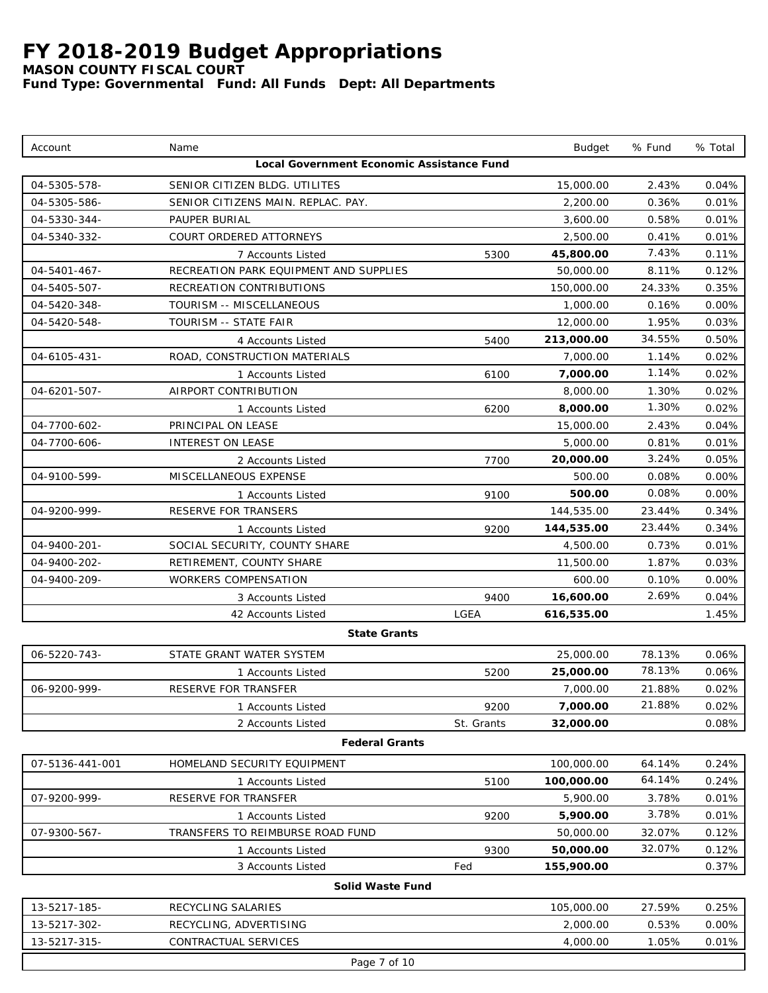*MASON COUNTY FISCAL COURT*

| Account         | Name                                      |            | <b>Budget</b> | % Fund | % Total  |
|-----------------|-------------------------------------------|------------|---------------|--------|----------|
|                 | Local Government Economic Assistance Fund |            |               |        |          |
| 04-5305-578-    | SENIOR CITIZEN BLDG. UTILITES             |            | 15,000.00     | 2.43%  | 0.04%    |
| 04-5305-586-    | SENIOR CITIZENS MAIN. REPLAC. PAY.        |            | 2,200.00      | 0.36%  | 0.01%    |
| 04-5330-344-    | PAUPER BURIAL                             |            | 3,600.00      | 0.58%  | 0.01%    |
| 04-5340-332-    | COURT ORDERED ATTORNEYS                   |            | 2,500.00      | 0.41%  | 0.01%    |
|                 | 7 Accounts Listed                         | 5300       | 45,800.00     | 7.43%  | 0.11%    |
| 04-5401-467-    | RECREATION PARK EQUIPMENT AND SUPPLIES    |            | 50,000.00     | 8.11%  | 0.12%    |
| 04-5405-507-    | RECREATION CONTRIBUTIONS                  |            | 150,000.00    | 24.33% | 0.35%    |
| 04-5420-348-    | TOURISM -- MISCELLANEOUS                  |            | 1,000.00      | 0.16%  | 0.00%    |
| 04-5420-548-    | TOURISM -- STATE FAIR                     |            | 12,000.00     | 1.95%  | 0.03%    |
|                 | 4 Accounts Listed                         | 5400       | 213,000.00    | 34.55% | 0.50%    |
| 04-6105-431-    | ROAD, CONSTRUCTION MATERIALS              |            | 7,000.00      | 1.14%  | 0.02%    |
|                 | 1 Accounts Listed                         | 6100       | 7,000.00      | 1.14%  | 0.02%    |
| 04-6201-507-    | AIRPORT CONTRIBUTION                      |            | 8,000.00      | 1.30%  | 0.02%    |
|                 | 1 Accounts Listed                         | 6200       | 8,000.00      | 1.30%  | 0.02%    |
| 04-7700-602-    | PRINCIPAL ON LEASE                        |            | 15,000.00     | 2.43%  | 0.04%    |
| 04-7700-606-    | INTEREST ON LEASE                         |            | 5,000.00      | 0.81%  | 0.01%    |
|                 | 2 Accounts Listed                         | 7700       | 20,000.00     | 3.24%  | 0.05%    |
| 04-9100-599-    | MISCELLANEOUS EXPENSE                     |            | 500.00        | 0.08%  | 0.00%    |
|                 | 1 Accounts Listed                         | 9100       | 500.00        | 0.08%  | 0.00%    |
| 04-9200-999-    | RESERVE FOR TRANSERS                      |            | 144,535.00    | 23.44% | 0.34%    |
|                 | 1 Accounts Listed                         | 9200       | 144,535.00    | 23.44% | 0.34%    |
| 04-9400-201-    | SOCIAL SECURITY, COUNTY SHARE             |            | 4,500.00      | 0.73%  | 0.01%    |
| 04-9400-202-    | RETIREMENT, COUNTY SHARE                  |            | 11,500.00     | 1.87%  | 0.03%    |
| 04-9400-209-    | WORKERS COMPENSATION                      |            | 600.00        | 0.10%  | 0.00%    |
|                 | 3 Accounts Listed                         | 9400       | 16,600.00     | 2.69%  | 0.04%    |
|                 | 42 Accounts Listed                        | LGEA       | 616,535.00    |        | 1.45%    |
|                 | <b>State Grants</b>                       |            |               |        |          |
| 06-5220-743-    | STATE GRANT WATER SYSTEM                  |            | 25,000.00     | 78.13% | 0.06%    |
|                 | 1 Accounts Listed                         | 5200       | 25,000.00     | 78.13% | 0.06%    |
| 06-9200-999-    | RESERVE FOR TRANSFER                      |            | 7,000.00      | 21.88% | 0.02%    |
|                 | 1 Accounts Listed                         | 9200       | 7,000.00      | 21.88% | 0.02%    |
|                 | 2 Accounts Listed                         | St. Grants | 32,000.00     |        | 0.08%    |
|                 | <b>Federal Grants</b>                     |            |               |        |          |
| 07-5136-441-001 | HOMELAND SECURITY EQUIPMENT               |            | 100,000.00    | 64.14% | 0.24%    |
|                 | 1 Accounts Listed                         | 5100       | 100,000.00    | 64.14% | 0.24%    |
| 07-9200-999-    | RESERVE FOR TRANSFER                      |            | 5,900.00      | 3.78%  | 0.01%    |
|                 | 1 Accounts Listed                         | 9200       | 5,900.00      | 3.78%  | 0.01%    |
| 07-9300-567-    | TRANSFERS TO REIMBURSE ROAD FUND          |            | 50,000.00     | 32.07% | 0.12%    |
|                 | 1 Accounts Listed                         | 9300       | 50,000.00     | 32.07% | 0.12%    |
|                 | 3 Accounts Listed                         | Fed        | 155,900.00    |        | 0.37%    |
|                 | Solid Waste Fund                          |            |               |        |          |
| 13-5217-185-    | RECYCLING SALARIES                        |            | 105,000.00    | 27.59% | 0.25%    |
| 13-5217-302-    | RECYCLING, ADVERTISING                    |            | 2,000.00      | 0.53%  | $0.00\%$ |
| 13-5217-315-    | CONTRACTUAL SERVICES                      |            | 4,000.00      | 1.05%  | 0.01%    |
|                 | Page 7 of 10                              |            |               |        |          |
|                 |                                           |            |               |        |          |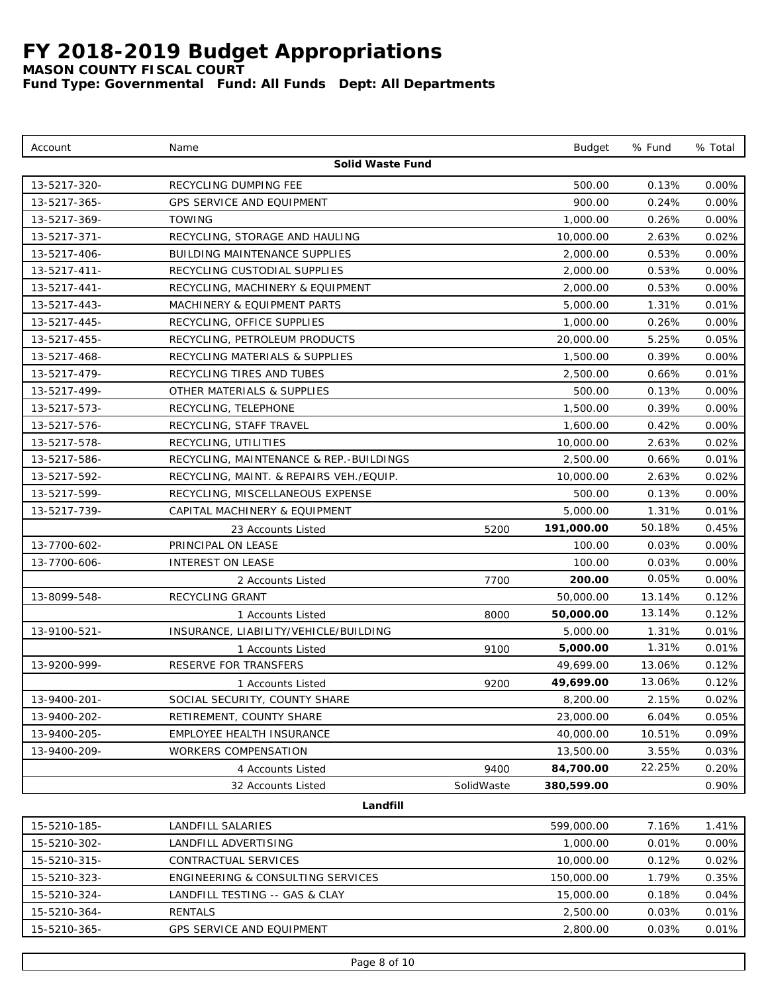*MASON COUNTY FISCAL COURT*

| Account      | Name                                    |            | <b>Budget</b> | % Fund | % Total  |
|--------------|-----------------------------------------|------------|---------------|--------|----------|
|              | Solid Waste Fund                        |            |               |        |          |
| 13-5217-320- | RECYCLING DUMPING FEE                   |            | 500.00        | 0.13%  | $0.00\%$ |
| 13-5217-365- | <b>GPS SERVICE AND EQUIPMENT</b>        |            | 900.00        | 0.24%  | $0.00\%$ |
| 13-5217-369- | <b>TOWING</b>                           |            | 1,000.00      | 0.26%  | 0.00%    |
| 13-5217-371- | RECYCLING, STORAGE AND HAULING          |            | 10,000.00     | 2.63%  | 0.02%    |
| 13-5217-406- | BUILDING MAINTENANCE SUPPLIES           |            | 2,000.00      | 0.53%  | 0.00%    |
| 13-5217-411- | RECYCLING CUSTODIAL SUPPLIES            |            | 2,000.00      | 0.53%  | 0.00%    |
| 13-5217-441- | RECYCLING, MACHINERY & EQUIPMENT        |            | 2,000.00      | 0.53%  | 0.00%    |
| 13-5217-443- | MACHINERY & EQUIPMENT PARTS             |            | 5,000.00      | 1.31%  | 0.01%    |
| 13-5217-445- | RECYCLING, OFFICE SUPPLIES              |            | 1,000.00      | 0.26%  | $0.00\%$ |
| 13-5217-455- | RECYCLING, PETROLEUM PRODUCTS           |            | 20,000.00     | 5.25%  | 0.05%    |
| 13-5217-468- | RECYCLING MATERIALS & SUPPLIES          |            | 1,500.00      | 0.39%  | 0.00%    |
| 13-5217-479- | RECYCLING TIRES AND TUBES               |            | 2,500.00      | 0.66%  | 0.01%    |
| 13-5217-499- | OTHER MATERIALS & SUPPLIES              |            | 500.00        | 0.13%  | 0.00%    |
| 13-5217-573- | RECYCLING, TELEPHONE                    |            | 1,500.00      | 0.39%  | 0.00%    |
| 13-5217-576- | RECYCLING, STAFF TRAVEL                 |            | 1,600.00      | 0.42%  | 0.00%    |
| 13-5217-578- | RECYCLING, UTILITIES                    |            | 10,000.00     | 2.63%  | 0.02%    |
| 13-5217-586- | RECYCLING, MAINTENANCE & REP.-BUILDINGS |            | 2,500.00      | 0.66%  | 0.01%    |
| 13-5217-592- | RECYCLING, MAINT. & REPAIRS VEH./EQUIP. |            | 10,000.00     | 2.63%  | 0.02%    |
| 13-5217-599- | RECYCLING, MISCELLANEOUS EXPENSE        |            | 500.00        | 0.13%  | 0.00%    |
| 13-5217-739- | CAPITAL MACHINERY & EQUIPMENT           |            | 5,000.00      | 1.31%  | 0.01%    |
|              | 23 Accounts Listed                      | 5200       | 191,000.00    | 50.18% | 0.45%    |
| 13-7700-602- | PRINCIPAL ON LEASE                      |            | 100.00        | 0.03%  | 0.00%    |
| 13-7700-606- | <b>INTEREST ON LEASE</b>                |            | 100.00        | 0.03%  | $0.00\%$ |
|              | 2 Accounts Listed                       | 7700       | 200.00        | 0.05%  | $0.00\%$ |
| 13-8099-548- | RECYCLING GRANT                         |            | 50,000.00     | 13.14% | 0.12%    |
|              | 1 Accounts Listed                       | 8000       | 50,000.00     | 13.14% | 0.12%    |
| 13-9100-521- | INSURANCE, LIABILITY/VEHICLE/BUILDING   |            | 5,000.00      | 1.31%  | 0.01%    |
|              | 1 Accounts Listed                       | 9100       | 5,000.00      | 1.31%  | 0.01%    |
| 13-9200-999- | RESERVE FOR TRANSFERS                   |            | 49,699.00     | 13.06% | 0.12%    |
|              | 1 Accounts Listed                       | 9200       | 49,699.00     | 13.06% | 0.12%    |
| 13-9400-201- | SOCIAL SECURITY, COUNTY SHARE           |            | 8,200.00      | 2.15%  | 0.02%    |
| 13-9400-202- | RETIREMENT, COUNTY SHARE                |            | 23,000.00     | 6.04%  | 0.05%    |
| 13-9400-205- | EMPLOYEE HEALTH INSURANCE               |            | 40,000.00     | 10.51% | 0.09%    |
| 13-9400-209- | WORKERS COMPENSATION                    |            | 13,500.00     | 3.55%  | 0.03%    |
|              | 4 Accounts Listed                       | 9400       | 84,700.00     | 22.25% | 0.20%    |
|              | 32 Accounts Listed                      | SolidWaste | 380,599.00    |        | 0.90%    |
|              | Landfill                                |            |               |        |          |
| 15-5210-185- | LANDFILL SALARIES                       |            | 599,000.00    | 7.16%  | 1.41%    |
| 15-5210-302- | LANDFILL ADVERTISING                    |            | 1,000.00      | 0.01%  | 0.00%    |
| 15-5210-315- | CONTRACTUAL SERVICES                    |            | 10,000.00     | 0.12%  | 0.02%    |
| 15-5210-323- | ENGINEERING & CONSULTING SERVICES       |            | 150,000.00    | 1.79%  | 0.35%    |
| 15-5210-324- | LANDFILL TESTING -- GAS & CLAY          |            | 15,000.00     | 0.18%  | 0.04%    |
| 15-5210-364- | RENTALS                                 |            | 2,500.00      | 0.03%  | 0.01%    |
| 15-5210-365- | GPS SERVICE AND EQUIPMENT               |            | 2,800.00      | 0.03%  | 0.01%    |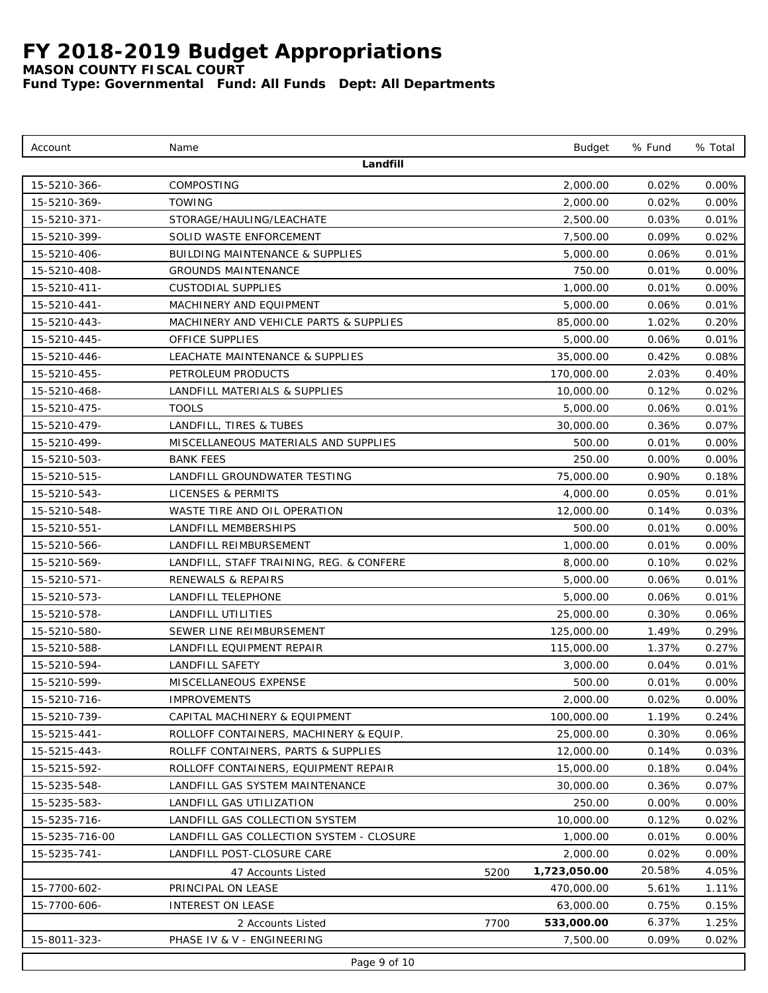*MASON COUNTY FISCAL COURT*

| Account        | Name                                       |      | <b>Budget</b> | % Fund   | % Total  |
|----------------|--------------------------------------------|------|---------------|----------|----------|
|                | Landfill                                   |      |               |          |          |
| 15-5210-366-   | COMPOSTING                                 |      | 2,000.00      | 0.02%    | 0.00%    |
| 15-5210-369-   | TOWING                                     |      | 2,000.00      | 0.02%    | $0.00\%$ |
| 15-5210-371-   | STORAGE/HAULING/LEACHATE                   |      | 2,500.00      | 0.03%    | 0.01%    |
| 15-5210-399-   | SOLID WASTE ENFORCEMENT                    |      | 7,500.00      | 0.09%    | 0.02%    |
| 15-5210-406-   | <b>BUILDING MAINTENANCE &amp; SUPPLIES</b> |      | 5,000.00      | 0.06%    | 0.01%    |
| 15-5210-408-   | <b>GROUNDS MAINTENANCE</b>                 |      | 750.00        | 0.01%    | 0.00%    |
| 15-5210-411-   | <b>CUSTODIAL SUPPLIES</b>                  |      | 1,000.00      | 0.01%    | 0.00%    |
| 15-5210-441-   | MACHINERY AND EQUIPMENT                    |      | 5,000.00      | 0.06%    | 0.01%    |
| 15-5210-443-   | MACHINERY AND VEHICLE PARTS & SUPPLIES     |      | 85,000.00     | 1.02%    | 0.20%    |
| 15-5210-445-   | OFFICE SUPPLIES                            |      | 5,000.00      | 0.06%    | 0.01%    |
| 15-5210-446-   | LEACHATE MAINTENANCE & SUPPLIES            |      | 35,000.00     | 0.42%    | 0.08%    |
| 15-5210-455-   | PETROLEUM PRODUCTS                         |      | 170,000.00    | 2.03%    | 0.40%    |
| 15-5210-468-   | LANDFILL MATERIALS & SUPPLIES              |      | 10,000.00     | 0.12%    | 0.02%    |
| 15-5210-475-   | <b>TOOLS</b>                               |      | 5,000.00      | 0.06%    | 0.01%    |
| 15-5210-479-   | LANDFILL, TIRES & TUBES                    |      | 30,000.00     | 0.36%    | 0.07%    |
| 15-5210-499-   | MISCELLANEOUS MATERIALS AND SUPPLIES       |      | 500.00        | 0.01%    | 0.00%    |
| 15-5210-503-   | <b>BANK FEES</b>                           |      | 250.00        | 0.00%    | 0.00%    |
| 15-5210-515-   | LANDFILL GROUNDWATER TESTING               |      | 75,000.00     | 0.90%    | 0.18%    |
| 15-5210-543-   | <b>LICENSES &amp; PERMITS</b>              |      | 4,000.00      | 0.05%    | 0.01%    |
| 15-5210-548-   | WASTE TIRE AND OIL OPERATION               |      | 12,000.00     | 0.14%    | 0.03%    |
| 15-5210-551-   | LANDFILL MEMBERSHIPS                       |      | 500.00        | 0.01%    | 0.00%    |
| 15-5210-566-   | LANDFILL REIMBURSEMENT                     |      | 1,000.00      | 0.01%    | 0.00%    |
| 15-5210-569-   | LANDFILL, STAFF TRAINING, REG. & CONFERE   |      | 8,000.00      | 0.10%    | 0.02%    |
| 15-5210-571-   | RENEWALS & REPAIRS                         |      | 5,000.00      | 0.06%    | 0.01%    |
| 15-5210-573-   | LANDFILL TELEPHONE                         |      | 5,000.00      | 0.06%    | 0.01%    |
| 15-5210-578-   | LANDFILL UTILITIES                         |      | 25,000.00     | 0.30%    | 0.06%    |
| 15-5210-580-   | SEWER LINE REIMBURSEMENT                   |      | 125,000.00    | 1.49%    | 0.29%    |
| 15-5210-588-   | LANDFILL EQUIPMENT REPAIR                  |      | 115,000.00    | 1.37%    | 0.27%    |
| 15-5210-594-   | LANDFILL SAFETY                            |      | 3,000.00      | 0.04%    | 0.01%    |
| 15-5210-599-   | MISCELLANEOUS EXPENSE                      |      | 500.00        | 0.01%    | $0.00\%$ |
| 15-5210-716-   | <b>IMPROVEMENTS</b>                        |      | 2,000.00      | $0.02\%$ | $0.00\%$ |
| 15-5210-739-   | CAPITAL MACHINERY & EQUIPMENT              |      | 100,000.00    | 1.19%    | 0.24%    |
| 15-5215-441-   | ROLLOFF CONTAINERS, MACHINERY & EQUIP.     |      | 25,000.00     | 0.30%    | 0.06%    |
| 15-5215-443-   | ROLLFF CONTAINERS, PARTS & SUPPLIES        |      | 12,000.00     | 0.14%    | 0.03%    |
| 15-5215-592-   | ROLLOFF CONTAINERS, EQUIPMENT REPAIR       |      | 15,000.00     | 0.18%    | 0.04%    |
| 15-5235-548-   | LANDFILL GAS SYSTEM MAINTENANCE            |      | 30,000.00     | 0.36%    | 0.07%    |
| 15-5235-583-   | LANDFILL GAS UTILIZATION                   |      | 250.00        | 0.00%    | 0.00%    |
| 15-5235-716-   | LANDFILL GAS COLLECTION SYSTEM             |      | 10,000.00     | 0.12%    | 0.02%    |
| 15-5235-716-00 | LANDFILL GAS COLLECTION SYSTEM - CLOSURE   |      | 1,000.00      | 0.01%    | 0.00%    |
| 15-5235-741-   | LANDFILL POST-CLOSURE CARE                 |      | 2,000.00      | 0.02%    | 0.00%    |
|                | 47 Accounts Listed                         | 5200 | 1,723,050.00  | 20.58%   | 4.05%    |
| 15-7700-602-   | PRINCIPAL ON LEASE                         |      | 470,000.00    | 5.61%    | 1.11%    |
| 15-7700-606-   | INTEREST ON LEASE                          |      | 63,000.00     | 0.75%    | 0.15%    |
|                | 2 Accounts Listed                          | 7700 | 533,000.00    | 6.37%    | 1.25%    |
| 15-8011-323-   | PHASE IV & V - ENGINEERING                 |      | 7,500.00      | 0.09%    | 0.02%    |
|                | Page 9 of 10                               |      |               |          |          |